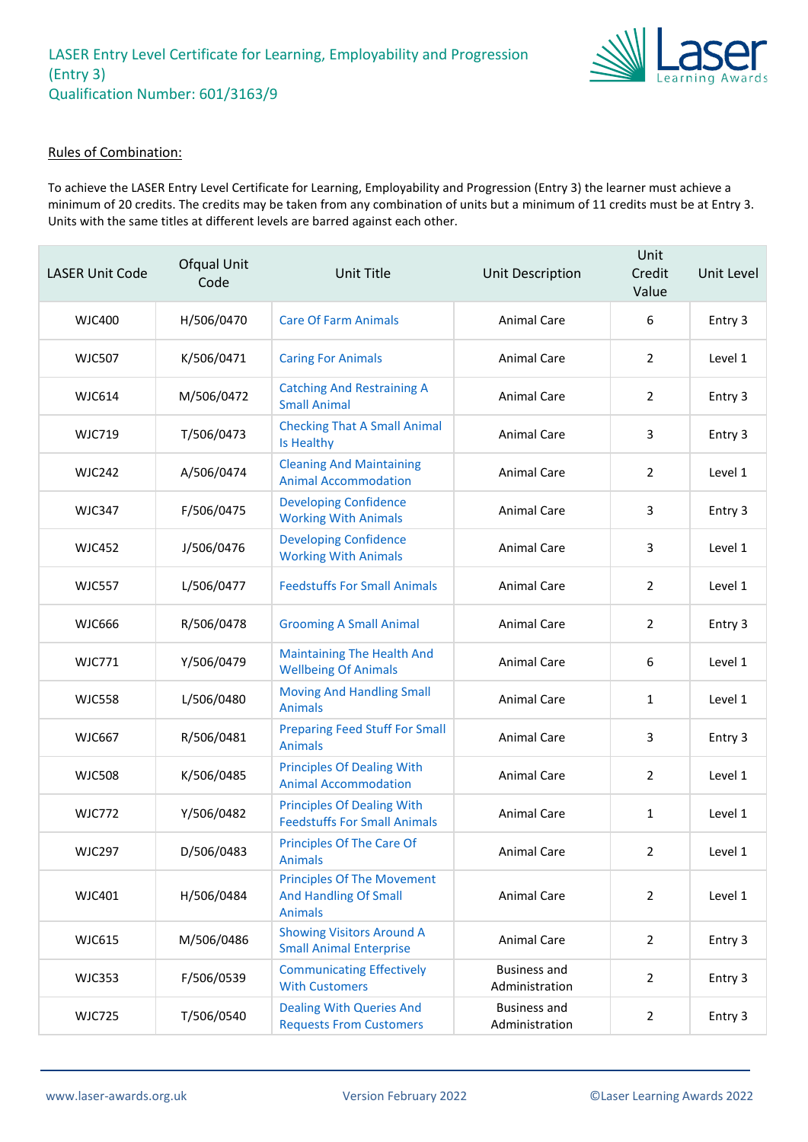

### Rules of Combination:

To achieve the LASER Entry Level Certificate for Learning, Employability and Progression (Entry 3) the learner must achieve a minimum of 20 credits. The credits may be taken from any combination of units but a minimum of 11 credits must be at Entry 3. Units with the same titles at different levels are barred against each other.

| <b>LASER Unit Code</b> | Ofqual Unit<br>Code | Unit Title                                                                          | Unit Description                      | Unit<br>Credit<br>Value | Unit Level |
|------------------------|---------------------|-------------------------------------------------------------------------------------|---------------------------------------|-------------------------|------------|
| WJC400                 | H/506/0470          | <b>Care Of Farm Animals</b>                                                         | <b>Animal Care</b>                    | 6                       | Entry 3    |
| <b>WJC507</b>          | K/506/0471          | <b>Caring For Animals</b>                                                           | <b>Animal Care</b>                    | 2                       | Level 1    |
| <b>WJC614</b>          | M/506/0472          | <b>Catching And Restraining A</b><br><b>Small Animal</b>                            | Animal Care                           | 2                       | Entry 3    |
| <b>WJC719</b>          | T/506/0473          | <b>Checking That A Small Animal</b><br>Is Healthy                                   | Animal Care                           | 3                       | Entry 3    |
| <b>WJC242</b>          | A/506/0474          | <b>Cleaning And Maintaining</b><br><b>Animal Accommodation</b>                      | <b>Animal Care</b>                    | $\overline{2}$          | Level 1    |
| <b>WJC347</b>          | F/506/0475          | <b>Developing Confidence</b><br><b>Working With Animals</b>                         | <b>Animal Care</b>                    | 3                       | Entry 3    |
| <b>WJC452</b>          | J/506/0476          | <b>Developing Confidence</b><br><b>Working With Animals</b>                         | Animal Care                           | 3                       | Level 1    |
| <b>WJC557</b>          | L/506/0477          | <b>Feedstuffs For Small Animals</b>                                                 | Animal Care                           | $\overline{2}$          | Level 1    |
| <b>WJC666</b>          | R/506/0478          | <b>Grooming A Small Animal</b>                                                      | Animal Care                           | 2                       | Entry 3    |
| <b>WJC771</b>          | Y/506/0479          | <b>Maintaining The Health And</b><br><b>Wellbeing Of Animals</b>                    | Animal Care                           | 6                       | Level 1    |
| <b>WJC558</b>          | L/506/0480          | <b>Moving And Handling Small</b><br><b>Animals</b>                                  | Animal Care                           | 1                       | Level 1    |
| <b>WJC667</b>          | R/506/0481          | <b>Preparing Feed Stuff For Small</b><br><b>Animals</b>                             | Animal Care                           | 3                       | Entry 3    |
| <b>WJC508</b>          | K/506/0485          | <b>Principles Of Dealing With</b><br><b>Animal Accommodation</b>                    | Animal Care                           | $\overline{2}$          | Level 1    |
| <b>WJC772</b>          | Y/506/0482          | <b>Principles Of Dealing With</b><br><b>Feedstuffs For Small Animals</b>            | <b>Animal Care</b>                    | 1                       | Level 1    |
| <b>WJC297</b>          | D/506/0483          | <b>Principles Of The Care Of</b><br><b>Animals</b>                                  | Animal Care                           | $\mathcal{P}$           | Level 1    |
| WJC401                 | H/506/0484          | <b>Principles Of The Movement</b><br><b>And Handling Of Small</b><br><b>Animals</b> | Animal Care                           | $\overline{2}$          | Level 1    |
| <b>WJC615</b>          | M/506/0486          | <b>Showing Visitors Around A</b><br><b>Small Animal Enterprise</b>                  | Animal Care                           | $\overline{2}$          | Entry 3    |
| <b>WJC353</b>          | F/506/0539          | <b>Communicating Effectively</b><br><b>With Customers</b>                           | <b>Business and</b><br>Administration | $\overline{2}$          | Entry 3    |
| <b>WJC725</b>          | T/506/0540          | <b>Dealing With Queries And</b><br><b>Requests From Customers</b>                   | <b>Business and</b><br>Administration | $\overline{2}$          | Entry 3    |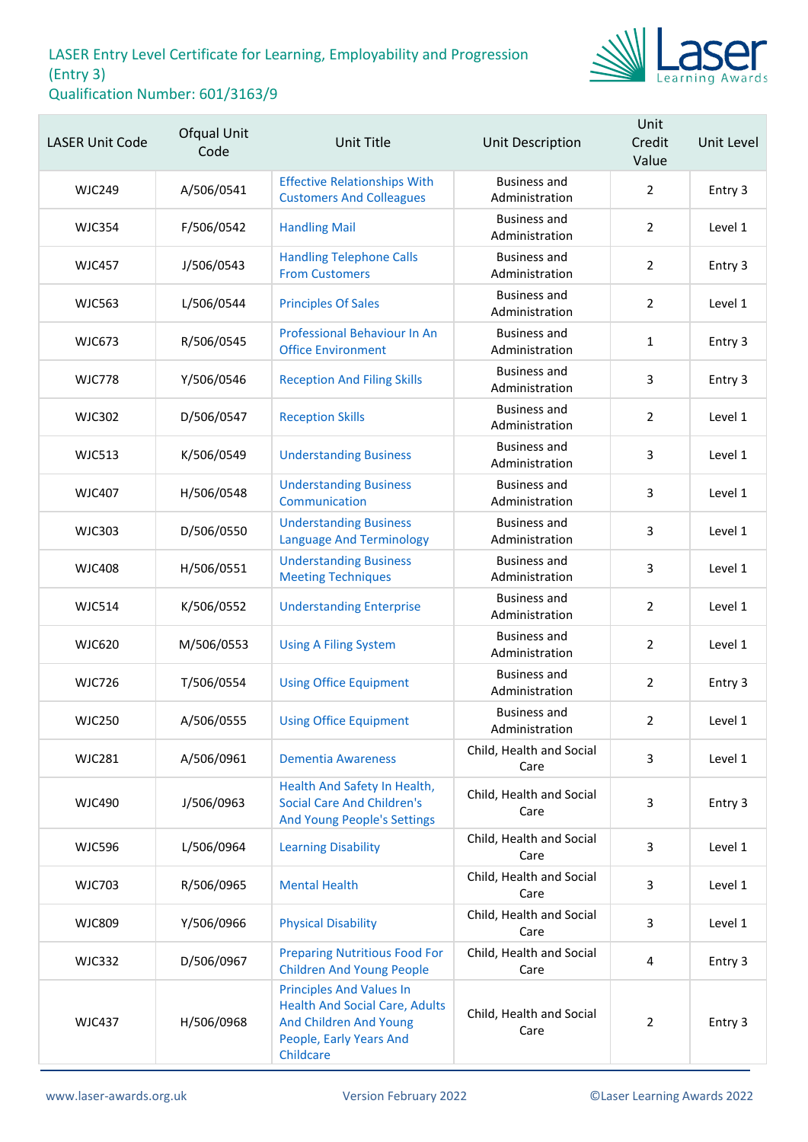

| <b>LASER Unit Code</b> | Ofqual Unit<br>Code | <b>Unit Title</b>                                                                                                                          | Unit Description                      | Unit<br>Credit<br>Value | Unit Level |
|------------------------|---------------------|--------------------------------------------------------------------------------------------------------------------------------------------|---------------------------------------|-------------------------|------------|
| <b>WJC249</b>          | A/506/0541          | <b>Effective Relationships With</b><br><b>Customers And Colleagues</b>                                                                     | <b>Business and</b><br>Administration | $\overline{2}$          | Entry 3    |
| <b>WJC354</b>          | F/506/0542          | <b>Handling Mail</b>                                                                                                                       | <b>Business and</b><br>Administration | $\overline{2}$          | Level 1    |
| <b>WJC457</b>          | J/506/0543          | <b>Handling Telephone Calls</b><br><b>From Customers</b>                                                                                   | <b>Business and</b><br>Administration | $\overline{2}$          | Entry 3    |
| <b>WJC563</b>          | L/506/0544          | <b>Principles Of Sales</b>                                                                                                                 | <b>Business and</b><br>Administration | $\overline{2}$          | Level 1    |
| <b>WJC673</b>          | R/506/0545          | Professional Behaviour In An<br><b>Office Environment</b>                                                                                  | <b>Business and</b><br>Administration | $\mathbf{1}$            | Entry 3    |
| <b>WJC778</b>          | Y/506/0546          | <b>Reception And Filing Skills</b>                                                                                                         | <b>Business and</b><br>Administration | 3                       | Entry 3    |
| <b>WJC302</b>          | D/506/0547          | <b>Reception Skills</b>                                                                                                                    | <b>Business and</b><br>Administration | $\overline{2}$          | Level 1    |
| <b>WJC513</b>          | K/506/0549          | <b>Understanding Business</b>                                                                                                              | <b>Business and</b><br>Administration | 3                       | Level 1    |
| <b>WJC407</b>          | H/506/0548          | <b>Understanding Business</b><br>Communication                                                                                             | <b>Business and</b><br>Administration | 3                       | Level 1    |
| <b>WJC303</b>          | D/506/0550          | <b>Understanding Business</b><br><b>Language And Terminology</b>                                                                           | <b>Business and</b><br>Administration | 3                       | Level 1    |
| <b>WJC408</b>          | H/506/0551          | <b>Understanding Business</b><br><b>Meeting Techniques</b>                                                                                 | <b>Business and</b><br>Administration | 3                       | Level 1    |
| <b>WJC514</b>          | K/506/0552          | <b>Understanding Enterprise</b>                                                                                                            | <b>Business and</b><br>Administration | $\overline{2}$          | Level 1    |
| <b>WJC620</b>          | M/506/0553          | <b>Using A Filing System</b>                                                                                                               | <b>Business and</b><br>Administration | $\overline{2}$          | Level 1    |
| <b>WJC726</b>          | T/506/0554          | <b>Using Office Equipment</b>                                                                                                              | <b>Business and</b><br>Administration | $\overline{2}$          | Entry 3    |
| <b>WJC250</b>          | A/506/0555          | <b>Using Office Equipment</b>                                                                                                              | Business and<br>Administration        | $\overline{2}$          | Level 1    |
| <b>WJC281</b>          | A/506/0961          | <b>Dementia Awareness</b>                                                                                                                  | Child, Health and Social<br>Care      | 3                       | Level 1    |
| <b>WJC490</b>          | J/506/0963          | Health And Safety In Health,<br><b>Social Care And Children's</b><br>And Young People's Settings                                           | Child, Health and Social<br>Care      | 3                       | Entry 3    |
| <b>WJC596</b>          | L/506/0964          | <b>Learning Disability</b>                                                                                                                 | Child, Health and Social<br>Care      | 3                       | Level 1    |
| <b>WJC703</b>          | R/506/0965          | <b>Mental Health</b>                                                                                                                       | Child, Health and Social<br>Care      | 3                       | Level 1    |
| <b>WJC809</b>          | Y/506/0966          | <b>Physical Disability</b>                                                                                                                 | Child, Health and Social<br>Care      | 3                       | Level 1    |
| <b>WJC332</b>          | D/506/0967          | <b>Preparing Nutritious Food For</b><br><b>Children And Young People</b>                                                                   | Child, Health and Social<br>Care      | 4                       | Entry 3    |
| <b>WJC437</b>          | H/506/0968          | <b>Principles And Values In</b><br><b>Health And Social Care, Adults</b><br>And Children And Young<br>People, Early Years And<br>Childcare | Child, Health and Social<br>Care      | $\overline{2}$          | Entry 3    |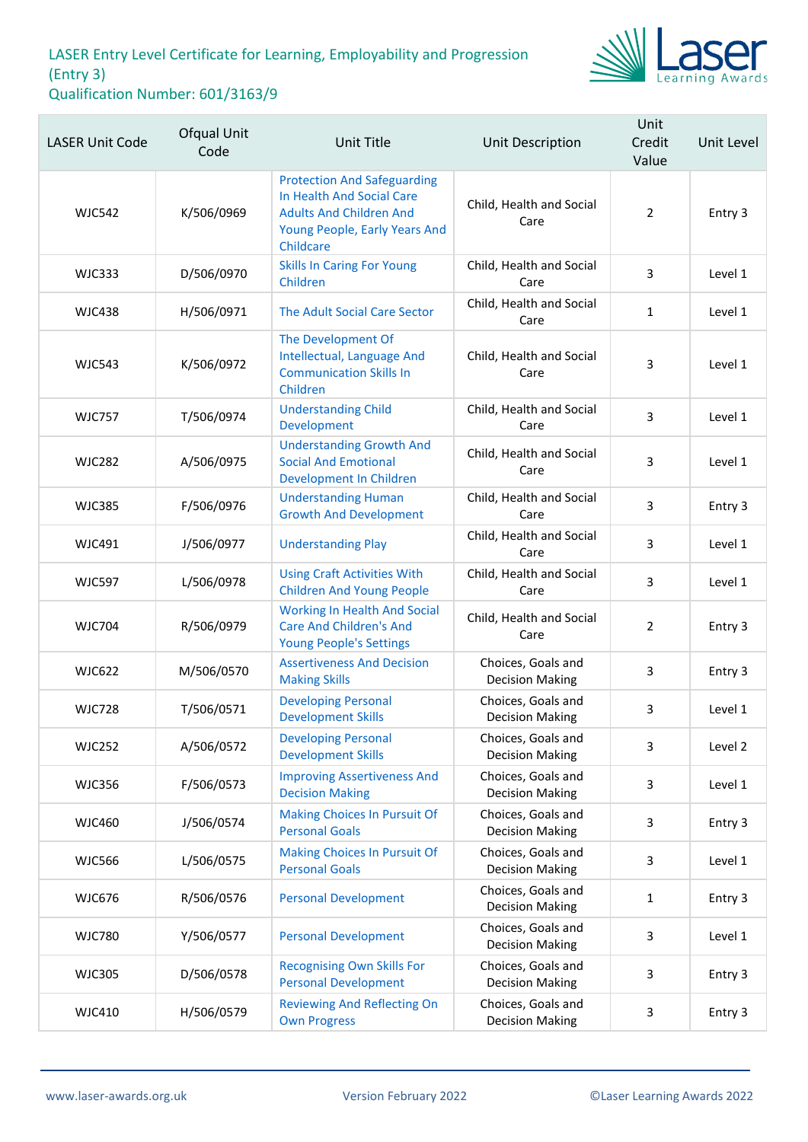

| <b>LASER Unit Code</b> | Ofqual Unit<br>Code | Unit Title                                                                                                                                      | Unit Description                             | Unit<br>Credit<br>Value | Unit Level |
|------------------------|---------------------|-------------------------------------------------------------------------------------------------------------------------------------------------|----------------------------------------------|-------------------------|------------|
| <b>WJC542</b>          | K/506/0969          | <b>Protection And Safeguarding</b><br>In Health And Social Care<br><b>Adults And Children And</b><br>Young People, Early Years And<br>Childcare | Child, Health and Social<br>Care             | $\overline{2}$          | Entry 3    |
| <b>WJC333</b>          | D/506/0970          | <b>Skills In Caring For Young</b><br>Children                                                                                                   | Child, Health and Social<br>Care             | 3                       | Level 1    |
| <b>WJC438</b>          | H/506/0971          | The Adult Social Care Sector                                                                                                                    | Child, Health and Social<br>Care             | $\mathbf{1}$            | Level 1    |
| <b>WJC543</b>          | K/506/0972          | The Development Of<br>Intellectual, Language And<br><b>Communication Skills In</b><br>Children                                                  | Child, Health and Social<br>Care             | 3                       | Level 1    |
| <b>WJC757</b>          | T/506/0974          | <b>Understanding Child</b><br>Development                                                                                                       | Child, Health and Social<br>Care             | 3                       | Level 1    |
| <b>WJC282</b>          | A/506/0975          | <b>Understanding Growth And</b><br><b>Social And Emotional</b><br>Development In Children                                                       | Child, Health and Social<br>Care             | 3                       | Level 1    |
| <b>WJC385</b>          | F/506/0976          | <b>Understanding Human</b><br><b>Growth And Development</b>                                                                                     | Child, Health and Social<br>Care             | 3                       | Entry 3    |
| <b>WJC491</b>          | J/506/0977          | <b>Understanding Play</b>                                                                                                                       | Child, Health and Social<br>Care             | 3                       | Level 1    |
| <b>WJC597</b>          | L/506/0978          | <b>Using Craft Activities With</b><br><b>Children And Young People</b>                                                                          | Child, Health and Social<br>Care             | 3                       | Level 1    |
| <b>WJC704</b>          | R/506/0979          | <b>Working In Health And Social</b><br><b>Care And Children's And</b><br><b>Young People's Settings</b>                                         | Child, Health and Social<br>Care             | $\overline{2}$          | Entry 3    |
| <b>WJC622</b>          | M/506/0570          | <b>Assertiveness And Decision</b><br><b>Making Skills</b>                                                                                       | Choices, Goals and<br><b>Decision Making</b> | 3                       | Entry 3    |
| <b>WJC728</b>          | T/506/0571          | <b>Developing Personal</b><br><b>Development Skills</b>                                                                                         | Choices, Goals and<br><b>Decision Making</b> | 3                       | Level 1    |
| <b>WJC252</b>          | A/506/0572          | <b>Developing Personal</b><br><b>Development Skills</b>                                                                                         | Choices, Goals and<br><b>Decision Making</b> | 3                       | Level 2    |
| <b>WJC356</b>          | F/506/0573          | <b>Improving Assertiveness And</b><br><b>Decision Making</b>                                                                                    | Choices, Goals and<br><b>Decision Making</b> | 3                       | Level 1    |
| <b>WJC460</b>          | J/506/0574          | <b>Making Choices In Pursuit Of</b><br><b>Personal Goals</b>                                                                                    | Choices, Goals and<br><b>Decision Making</b> | 3                       | Entry 3    |
| <b>WJC566</b>          | L/506/0575          | <b>Making Choices In Pursuit Of</b><br><b>Personal Goals</b>                                                                                    | Choices, Goals and<br><b>Decision Making</b> | 3                       | Level 1    |
| <b>WJC676</b>          | R/506/0576          | <b>Personal Development</b>                                                                                                                     | Choices, Goals and<br><b>Decision Making</b> | 1                       | Entry 3    |
| <b>WJC780</b>          | Y/506/0577          | <b>Personal Development</b>                                                                                                                     | Choices, Goals and<br><b>Decision Making</b> | 3                       | Level 1    |
| <b>WJC305</b>          | D/506/0578          | <b>Recognising Own Skills For</b><br><b>Personal Development</b>                                                                                | Choices, Goals and<br><b>Decision Making</b> | 3                       | Entry 3    |
| <b>WJC410</b>          | H/506/0579          | <b>Reviewing And Reflecting On</b><br><b>Own Progress</b>                                                                                       | Choices, Goals and<br><b>Decision Making</b> | 3                       | Entry 3    |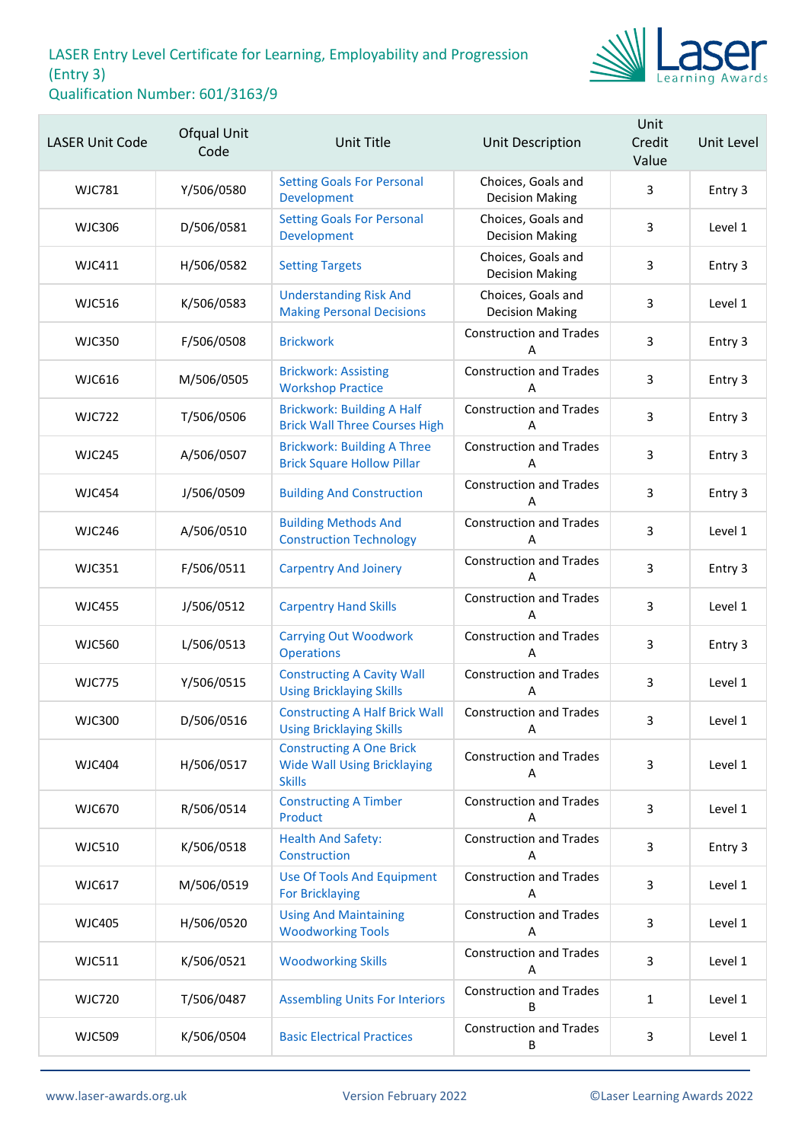

| <b>LASER Unit Code</b> | Ofqual Unit<br>Code | <b>Unit Title</b>                                                                      | Unit Description                             | Unit<br>Credit<br>Value | Unit Level |
|------------------------|---------------------|----------------------------------------------------------------------------------------|----------------------------------------------|-------------------------|------------|
| <b>WJC781</b>          | Y/506/0580          | <b>Setting Goals For Personal</b><br>Development                                       | Choices, Goals and<br><b>Decision Making</b> | 3                       | Entry 3    |
| <b>WJC306</b>          | D/506/0581          | <b>Setting Goals For Personal</b><br>Development                                       | Choices, Goals and<br><b>Decision Making</b> | 3                       | Level 1    |
| <b>WJC411</b>          | H/506/0582          | <b>Setting Targets</b>                                                                 | Choices, Goals and<br><b>Decision Making</b> | 3                       | Entry 3    |
| <b>WJC516</b>          | K/506/0583          | <b>Understanding Risk And</b><br><b>Making Personal Decisions</b>                      | Choices, Goals and<br><b>Decision Making</b> | 3                       | Level 1    |
| <b>WJC350</b>          | F/506/0508          | <b>Brickwork</b>                                                                       | <b>Construction and Trades</b><br>Α          | 3                       | Entry 3    |
| <b>WJC616</b>          | M/506/0505          | <b>Brickwork: Assisting</b><br><b>Workshop Practice</b>                                | <b>Construction and Trades</b><br>А          | 3                       | Entry 3    |
| <b>WJC722</b>          | T/506/0506          | <b>Brickwork: Building A Half</b><br><b>Brick Wall Three Courses High</b>              | <b>Construction and Trades</b><br>Α          | 3                       | Entry 3    |
| <b>WJC245</b>          | A/506/0507          | <b>Brickwork: Building A Three</b><br><b>Brick Square Hollow Pillar</b>                | <b>Construction and Trades</b><br>Α          | 3                       | Entry 3    |
| <b>WJC454</b>          | J/506/0509          | <b>Building And Construction</b>                                                       | <b>Construction and Trades</b><br>А          | 3                       | Entry 3    |
| <b>WJC246</b>          | A/506/0510          | <b>Building Methods And</b><br><b>Construction Technology</b>                          | <b>Construction and Trades</b><br>Α          | 3                       | Level 1    |
| <b>WJC351</b>          | F/506/0511          | <b>Carpentry And Joinery</b>                                                           | <b>Construction and Trades</b><br>А          | 3                       | Entry 3    |
| <b>WJC455</b>          | J/506/0512          | <b>Carpentry Hand Skills</b>                                                           | <b>Construction and Trades</b><br>А          | 3                       | Level 1    |
| <b>WJC560</b>          | L/506/0513          | <b>Carrying Out Woodwork</b><br><b>Operations</b>                                      | <b>Construction and Trades</b><br>Α          | 3                       | Entry 3    |
| <b>WJC775</b>          | Y/506/0515          | <b>Constructing A Cavity Wall</b><br><b>Using Bricklaying Skills</b>                   | <b>Construction and Trades</b><br>А          | 3                       | Level 1    |
| <b>WJC300</b>          | D/506/0516          | <b>Constructing A Half Brick Wall</b><br><b>Using Bricklaying Skills</b>               | <b>Construction and Trades</b><br>Α          | 3                       | Level 1    |
| <b>WJC404</b>          | H/506/0517          | <b>Constructing A One Brick</b><br><b>Wide Wall Using Bricklaying</b><br><b>Skills</b> | <b>Construction and Trades</b><br>Α          | 3                       | Level 1    |
| <b>WJC670</b>          | R/506/0514          | <b>Constructing A Timber</b><br>Product                                                | <b>Construction and Trades</b><br>A          | 3                       | Level 1    |
| <b>WJC510</b>          | K/506/0518          | <b>Health And Safety:</b><br>Construction                                              | <b>Construction and Trades</b><br>А          | 3                       | Entry 3    |
| <b>WJC617</b>          | M/506/0519          | <b>Use Of Tools And Equipment</b><br><b>For Bricklaying</b>                            | <b>Construction and Trades</b><br>А          | 3                       | Level 1    |
| <b>WJC405</b>          | H/506/0520          | <b>Using And Maintaining</b><br><b>Woodworking Tools</b>                               | <b>Construction and Trades</b><br>A          | 3                       | Level 1    |
| <b>WJC511</b>          | K/506/0521          | <b>Woodworking Skills</b>                                                              | <b>Construction and Trades</b><br>A          | 3                       | Level 1    |
| <b>WJC720</b>          | T/506/0487          | <b>Assembling Units For Interiors</b>                                                  | <b>Construction and Trades</b><br>В          | $\mathbf{1}$            | Level 1    |
| <b>WJC509</b>          | K/506/0504          | <b>Basic Electrical Practices</b>                                                      | <b>Construction and Trades</b><br>В          | 3                       | Level 1    |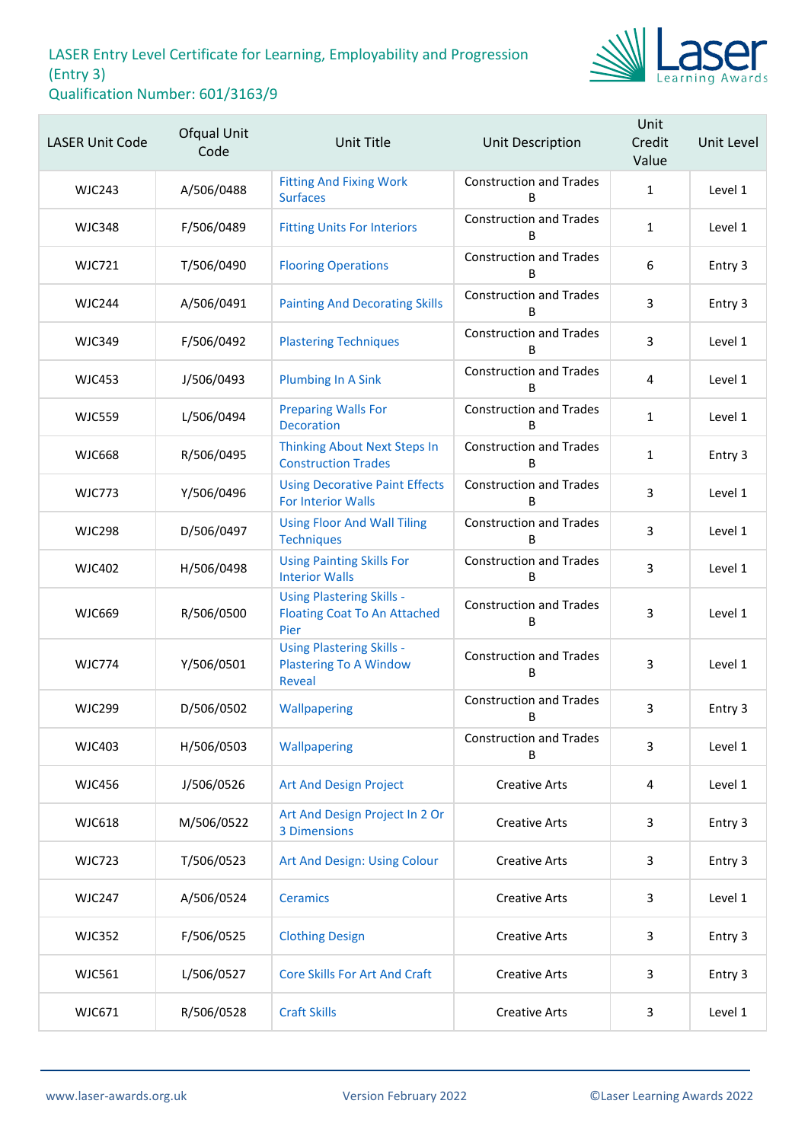

| <b>LASER Unit Code</b> | Ofqual Unit<br>Code | Unit Title                                                                      | Unit Description                    | Unit<br>Credit<br>Value | Unit Level |
|------------------------|---------------------|---------------------------------------------------------------------------------|-------------------------------------|-------------------------|------------|
| <b>WJC243</b>          | A/506/0488          | <b>Fitting And Fixing Work</b><br><b>Surfaces</b>                               | <b>Construction and Trades</b><br>B | $\mathbf{1}$            | Level 1    |
| <b>WJC348</b>          | F/506/0489          | <b>Fitting Units For Interiors</b>                                              | <b>Construction and Trades</b><br>B | $\mathbf{1}$            | Level 1    |
| <b>WJC721</b>          | T/506/0490          | <b>Flooring Operations</b>                                                      | <b>Construction and Trades</b><br>B | 6                       | Entry 3    |
| <b>WJC244</b>          | A/506/0491          | <b>Painting And Decorating Skills</b>                                           | <b>Construction and Trades</b><br>B | 3                       | Entry 3    |
| <b>WJC349</b>          | F/506/0492          | <b>Plastering Techniques</b>                                                    | <b>Construction and Trades</b><br>B | 3                       | Level 1    |
| <b>WJC453</b>          | J/506/0493          | <b>Plumbing In A Sink</b>                                                       | <b>Construction and Trades</b><br>B | 4                       | Level 1    |
| <b>WJC559</b>          | L/506/0494          | <b>Preparing Walls For</b><br><b>Decoration</b>                                 | <b>Construction and Trades</b><br>B | $\mathbf{1}$            | Level 1    |
| <b>WJC668</b>          | R/506/0495          | <b>Thinking About Next Steps In</b><br><b>Construction Trades</b>               | <b>Construction and Trades</b><br>B | 1                       | Entry 3    |
| <b>WJC773</b>          | Y/506/0496          | <b>Using Decorative Paint Effects</b><br><b>For Interior Walls</b>              | <b>Construction and Trades</b><br>B | 3                       | Level 1    |
| <b>WJC298</b>          | D/506/0497          | <b>Using Floor And Wall Tiling</b><br><b>Techniques</b>                         | <b>Construction and Trades</b><br>B | 3                       | Level 1    |
| <b>WJC402</b>          | H/506/0498          | <b>Using Painting Skills For</b><br><b>Interior Walls</b>                       | <b>Construction and Trades</b><br>B | 3                       | Level 1    |
| <b>WJC669</b>          | R/506/0500          | <b>Using Plastering Skills -</b><br><b>Floating Coat To An Attached</b><br>Pier | <b>Construction and Trades</b><br>B | 3                       | Level 1    |
| <b>WJC774</b>          | Y/506/0501          | <b>Using Plastering Skills -</b><br><b>Plastering To A Window</b><br>Reveal     | <b>Construction and Trades</b><br>B | 3                       | Level 1    |
| <b>WJC299</b>          | D/506/0502          | Wallpapering                                                                    | <b>Construction and Trades</b><br>В | 3                       | Entry 3    |
| <b>WJC403</b>          | H/506/0503          | Wallpapering                                                                    | <b>Construction and Trades</b><br>B | 3                       | Level 1    |
| <b>WJC456</b>          | J/506/0526          | <b>Art And Design Project</b>                                                   | <b>Creative Arts</b>                | 4                       | Level 1    |
| <b>WJC618</b>          | M/506/0522          | Art And Design Project In 2 Or<br><b>3 Dimensions</b>                           | <b>Creative Arts</b>                | 3                       | Entry 3    |
| <b>WJC723</b>          | T/506/0523          | Art And Design: Using Colour                                                    | <b>Creative Arts</b>                | 3                       | Entry 3    |
| <b>WJC247</b>          | A/506/0524          | <b>Ceramics</b>                                                                 | <b>Creative Arts</b>                | 3                       | Level 1    |
| <b>WJC352</b>          | F/506/0525          | <b>Clothing Design</b>                                                          | <b>Creative Arts</b>                | 3                       | Entry 3    |
| <b>WJC561</b>          | L/506/0527          | <b>Core Skills For Art And Craft</b>                                            | <b>Creative Arts</b>                | 3                       | Entry 3    |
| WJC671                 | R/506/0528          | <b>Craft Skills</b>                                                             | <b>Creative Arts</b>                | 3                       | Level 1    |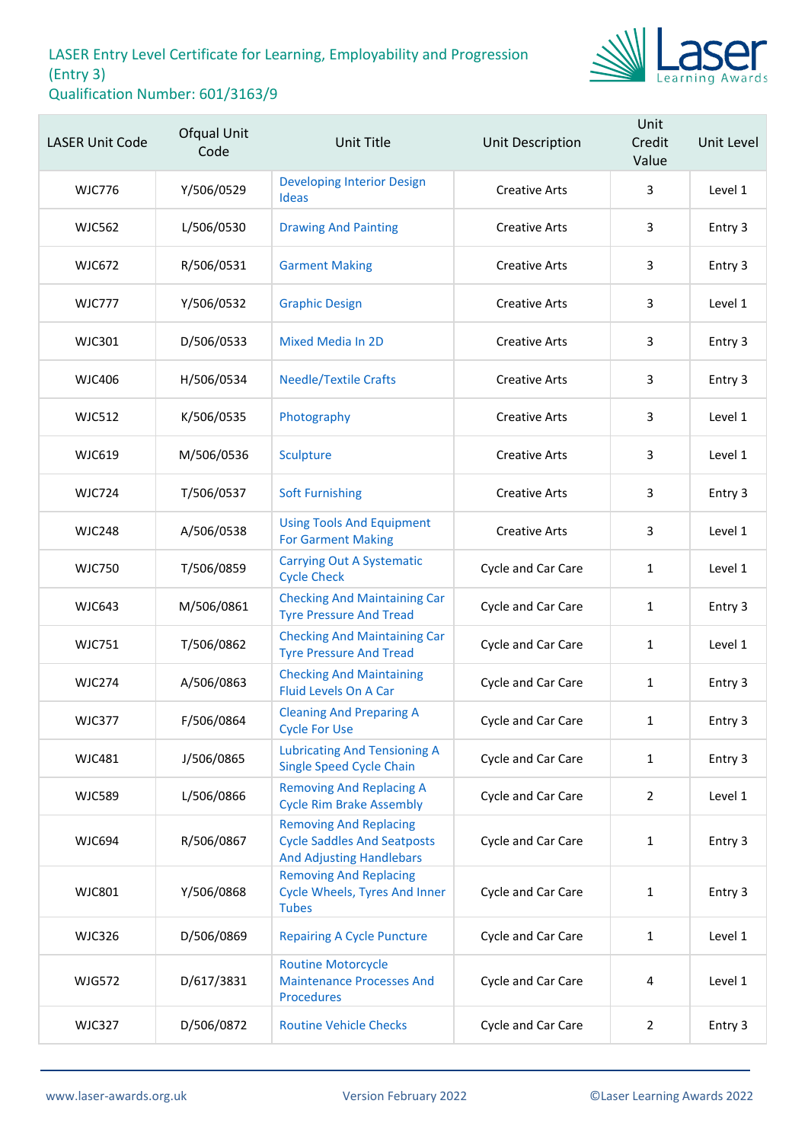

| <b>LASER Unit Code</b> | Ofqual Unit<br>Code | Unit Title                                                                                             | Unit Description          | Unit<br>Credit<br>Value | Unit Level |
|------------------------|---------------------|--------------------------------------------------------------------------------------------------------|---------------------------|-------------------------|------------|
| <b>WJC776</b>          | Y/506/0529          | <b>Developing Interior Design</b><br><b>Ideas</b>                                                      | <b>Creative Arts</b>      | 3                       | Level 1    |
| <b>WJC562</b>          | L/506/0530          | <b>Drawing And Painting</b>                                                                            | <b>Creative Arts</b>      | 3                       | Entry 3    |
| <b>WJC672</b>          | R/506/0531          | <b>Garment Making</b>                                                                                  | <b>Creative Arts</b>      | 3                       | Entry 3    |
| <b>WJC777</b>          | Y/506/0532          | <b>Graphic Design</b>                                                                                  | <b>Creative Arts</b>      | 3                       | Level 1    |
| <b>WJC301</b>          | D/506/0533          | <b>Mixed Media In 2D</b>                                                                               | <b>Creative Arts</b>      | 3                       | Entry 3    |
| <b>WJC406</b>          | H/506/0534          | <b>Needle/Textile Crafts</b>                                                                           | <b>Creative Arts</b>      | 3                       | Entry 3    |
| <b>WJC512</b>          | K/506/0535          | Photography                                                                                            | <b>Creative Arts</b>      | 3                       | Level 1    |
| <b>WJC619</b>          | M/506/0536          | Sculpture                                                                                              | <b>Creative Arts</b>      | 3                       | Level 1    |
| <b>WJC724</b>          | T/506/0537          | <b>Soft Furnishing</b>                                                                                 | <b>Creative Arts</b>      | 3                       | Entry 3    |
| <b>WJC248</b>          | A/506/0538          | <b>Using Tools And Equipment</b><br><b>For Garment Making</b>                                          | <b>Creative Arts</b>      | 3                       | Level 1    |
| <b>WJC750</b>          | T/506/0859          | <b>Carrying Out A Systematic</b><br><b>Cycle Check</b>                                                 | Cycle and Car Care        | $\mathbf{1}$            | Level 1    |
| <b>WJC643</b>          | M/506/0861          | <b>Checking And Maintaining Car</b><br><b>Tyre Pressure And Tread</b>                                  | Cycle and Car Care        | $\mathbf{1}$            | Entry 3    |
| <b>WJC751</b>          | T/506/0862          | <b>Checking And Maintaining Car</b><br><b>Tyre Pressure And Tread</b>                                  | Cycle and Car Care        | 1                       | Level 1    |
| <b>WJC274</b>          | A/506/0863          | <b>Checking And Maintaining</b><br>Fluid Levels On A Car                                               | Cycle and Car Care        | 1                       | Entry 3    |
| <b>WJC377</b>          | F/506/0864          | <b>Cleaning And Preparing A</b><br><b>Cycle For Use</b>                                                | <b>Cycle and Car Care</b> | $\mathbf{1}$            | Entry 3    |
| <b>WJC481</b>          | J/506/0865          | <b>Lubricating And Tensioning A</b><br><b>Single Speed Cycle Chain</b>                                 | Cycle and Car Care        | 1                       | Entry 3    |
| <b>WJC589</b>          | L/506/0866          | <b>Removing And Replacing A</b><br><b>Cycle Rim Brake Assembly</b>                                     | Cycle and Car Care        | 2                       | Level 1    |
| <b>WJC694</b>          | R/506/0867          | <b>Removing And Replacing</b><br><b>Cycle Saddles And Seatposts</b><br><b>And Adjusting Handlebars</b> | Cycle and Car Care        | 1                       | Entry 3    |
| <b>WJC801</b>          | Y/506/0868          | <b>Removing And Replacing</b><br><b>Cycle Wheels, Tyres And Inner</b><br><b>Tubes</b>                  | Cycle and Car Care        | $\mathbf{1}$            | Entry 3    |
| <b>WJC326</b>          | D/506/0869          | <b>Repairing A Cycle Puncture</b>                                                                      | Cycle and Car Care        | $\mathbf{1}$            | Level 1    |
| <b>WJG572</b>          | D/617/3831          | <b>Routine Motorcycle</b><br><b>Maintenance Processes And</b><br><b>Procedures</b>                     | Cycle and Car Care        | 4                       | Level 1    |
| <b>WJC327</b>          | D/506/0872          | <b>Routine Vehicle Checks</b>                                                                          | Cycle and Car Care        | $\overline{2}$          | Entry 3    |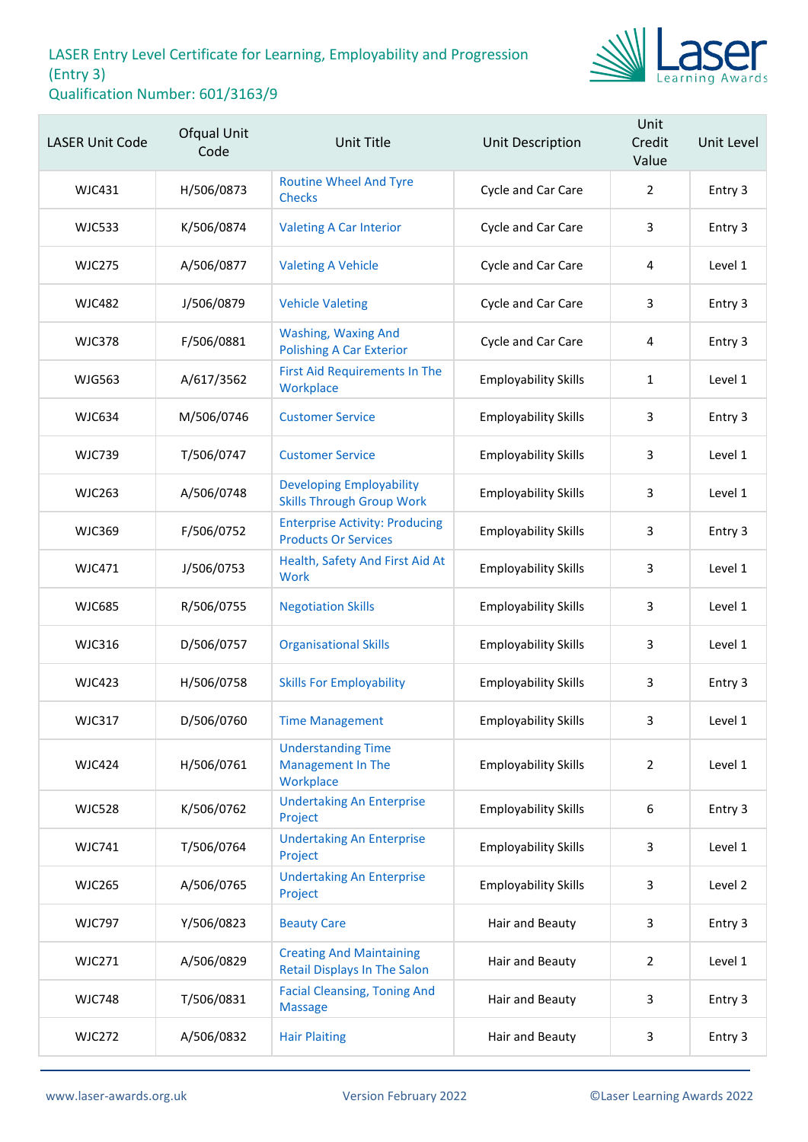

| <b>LASER Unit Code</b> | Ofqual Unit<br>Code | <b>Unit Title</b>                                                      | Unit Description            | Unit<br>Credit<br>Value | Unit Level |
|------------------------|---------------------|------------------------------------------------------------------------|-----------------------------|-------------------------|------------|
| WJC431                 | H/506/0873          | <b>Routine Wheel And Tyre</b><br><b>Checks</b>                         | Cycle and Car Care          | $\overline{2}$          | Entry 3    |
| <b>WJC533</b>          | K/506/0874          | <b>Valeting A Car Interior</b>                                         | Cycle and Car Care          | 3                       | Entry 3    |
| <b>WJC275</b>          | A/506/0877          | <b>Valeting A Vehicle</b>                                              | Cycle and Car Care          | 4                       | Level 1    |
| <b>WJC482</b>          | J/506/0879          | <b>Vehicle Valeting</b>                                                | Cycle and Car Care          | 3                       | Entry 3    |
| <b>WJC378</b>          | F/506/0881          | <b>Washing, Waxing And</b><br><b>Polishing A Car Exterior</b>          | Cycle and Car Care          | 4                       | Entry 3    |
| <b>WJG563</b>          | A/617/3562          | <b>First Aid Requirements In The</b><br>Workplace                      | <b>Employability Skills</b> | 1                       | Level 1    |
| <b>WJC634</b>          | M/506/0746          | <b>Customer Service</b>                                                | <b>Employability Skills</b> | 3                       | Entry 3    |
| <b>WJC739</b>          | T/506/0747          | <b>Customer Service</b>                                                | <b>Employability Skills</b> | 3                       | Level 1    |
| <b>WJC263</b>          | A/506/0748          | <b>Developing Employability</b><br><b>Skills Through Group Work</b>    | <b>Employability Skills</b> | 3                       | Level 1    |
| <b>WJC369</b>          | F/506/0752          | <b>Enterprise Activity: Producing</b><br><b>Products Or Services</b>   | <b>Employability Skills</b> | 3                       | Entry 3    |
| WJC471                 | J/506/0753          | Health, Safety And First Aid At<br><b>Work</b>                         | <b>Employability Skills</b> | 3                       | Level 1    |
| <b>WJC685</b>          | R/506/0755          | <b>Negotiation Skills</b>                                              | <b>Employability Skills</b> | 3                       | Level 1    |
| <b>WJC316</b>          | D/506/0757          | <b>Organisational Skills</b>                                           | <b>Employability Skills</b> | 3                       | Level 1    |
| <b>WJC423</b>          | H/506/0758          | <b>Skills For Employability</b>                                        | <b>Employability Skills</b> | 3                       | Entry 3    |
| <b>WJC317</b>          | D/506/0760          | <b>Time Management</b>                                                 | <b>Employability Skills</b> | 3                       | Level 1    |
| <b>WJC424</b>          | H/506/0761          | <b>Understanding Time</b><br><b>Management In The</b><br>Workplace     | <b>Employability Skills</b> | $\overline{2}$          | Level 1    |
| <b>WJC528</b>          | K/506/0762          | <b>Undertaking An Enterprise</b><br>Project                            | <b>Employability Skills</b> | 6                       | Entry 3    |
| <b>WJC741</b>          | T/506/0764          | <b>Undertaking An Enterprise</b><br>Project                            | <b>Employability Skills</b> | 3                       | Level 1    |
| <b>WJC265</b>          | A/506/0765          | <b>Undertaking An Enterprise</b><br>Project                            | <b>Employability Skills</b> | 3                       | Level 2    |
| <b>WJC797</b>          | Y/506/0823          | <b>Beauty Care</b>                                                     | Hair and Beauty             | 3                       | Entry 3    |
| <b>WJC271</b>          | A/506/0829          | <b>Creating And Maintaining</b><br><b>Retail Displays In The Salon</b> | Hair and Beauty             | $\overline{2}$          | Level 1    |
| <b>WJC748</b>          | T/506/0831          | <b>Facial Cleansing, Toning And</b><br><b>Massage</b>                  | Hair and Beauty             | 3                       | Entry 3    |
| <b>WJC272</b>          | A/506/0832          | <b>Hair Plaiting</b>                                                   | Hair and Beauty             | 3                       | Entry 3    |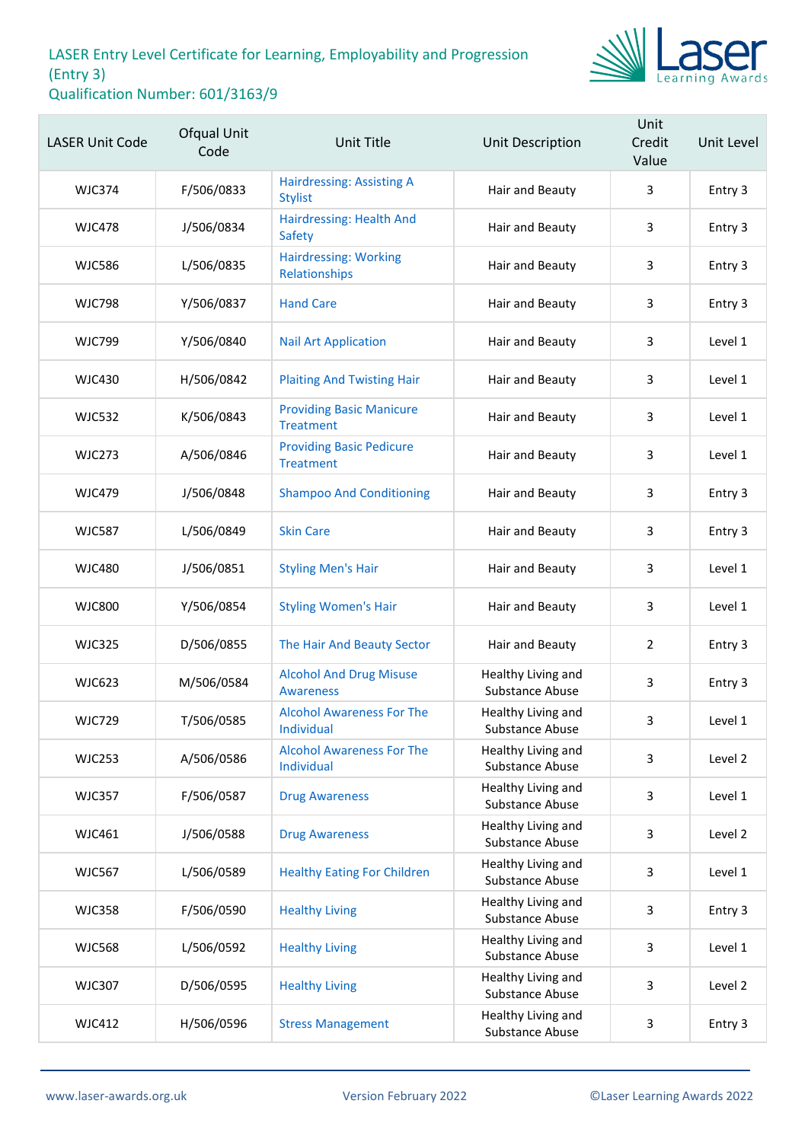

| <b>LASER Unit Code</b> | Ofqual Unit<br>Code | <b>Unit Title</b>                                   | <b>Unit Description</b>               | Unit<br>Credit<br>Value | Unit Level |
|------------------------|---------------------|-----------------------------------------------------|---------------------------------------|-------------------------|------------|
| <b>WJC374</b>          | F/506/0833          | <b>Hairdressing: Assisting A</b><br><b>Stylist</b>  | Hair and Beauty                       | 3                       | Entry 3    |
| <b>WJC478</b>          | J/506/0834          | Hairdressing: Health And<br>Safety                  | Hair and Beauty                       | 3                       | Entry 3    |
| <b>WJC586</b>          | L/506/0835          | <b>Hairdressing: Working</b><br>Relationships       | Hair and Beauty                       | 3                       | Entry 3    |
| <b>WJC798</b>          | Y/506/0837          | <b>Hand Care</b>                                    | Hair and Beauty                       | 3                       | Entry 3    |
| <b>WJC799</b>          | Y/506/0840          | <b>Nail Art Application</b>                         | Hair and Beauty                       | 3                       | Level 1    |
| <b>WJC430</b>          | H/506/0842          | <b>Plaiting And Twisting Hair</b>                   | Hair and Beauty                       | 3                       | Level 1    |
| <b>WJC532</b>          | K/506/0843          | <b>Providing Basic Manicure</b><br><b>Treatment</b> | Hair and Beauty                       | 3                       | Level 1    |
| <b>WJC273</b>          | A/506/0846          | <b>Providing Basic Pedicure</b><br><b>Treatment</b> | Hair and Beauty                       | 3                       | Level 1    |
| <b>WJC479</b>          | J/506/0848          | <b>Shampoo And Conditioning</b>                     | Hair and Beauty                       | 3                       | Entry 3    |
| <b>WJC587</b>          | L/506/0849          | <b>Skin Care</b>                                    | Hair and Beauty                       | 3                       | Entry 3    |
| <b>WJC480</b>          | J/506/0851          | <b>Styling Men's Hair</b>                           | Hair and Beauty                       | 3                       | Level 1    |
| <b>WJC800</b>          | Y/506/0854          | <b>Styling Women's Hair</b>                         | Hair and Beauty                       | 3                       | Level 1    |
| <b>WJC325</b>          | D/506/0855          | The Hair And Beauty Sector                          | Hair and Beauty                       | $\overline{2}$          | Entry 3    |
| <b>WJC623</b>          | M/506/0584          | <b>Alcohol And Drug Misuse</b><br><b>Awareness</b>  | Healthy Living and<br>Substance Abuse | 3                       | Entry 3    |
| <b>WJC729</b>          | T/506/0585          | <b>Alcohol Awareness For The</b><br>Individual      | Healthy Living and<br>Substance Abuse | 3                       | Level 1    |
| <b>WJC253</b>          | A/506/0586          | <b>Alcohol Awareness For The</b><br>Individual      | Healthy Living and<br>Substance Abuse | 3                       | Level 2    |
| <b>WJC357</b>          | F/506/0587          | <b>Drug Awareness</b>                               | Healthy Living and<br>Substance Abuse | 3                       | Level 1    |
| <b>WJC461</b>          | J/506/0588          | <b>Drug Awareness</b>                               | Healthy Living and<br>Substance Abuse | 3                       | Level 2    |
| <b>WJC567</b>          | L/506/0589          | <b>Healthy Eating For Children</b>                  | Healthy Living and<br>Substance Abuse | 3                       | Level 1    |
| <b>WJC358</b>          | F/506/0590          | <b>Healthy Living</b>                               | Healthy Living and<br>Substance Abuse | 3                       | Entry 3    |
| <b>WJC568</b>          | L/506/0592          | <b>Healthy Living</b>                               | Healthy Living and<br>Substance Abuse | 3                       | Level 1    |
| <b>WJC307</b>          | D/506/0595          | <b>Healthy Living</b>                               | Healthy Living and<br>Substance Abuse | 3                       | Level 2    |
| <b>WJC412</b>          | H/506/0596          | <b>Stress Management</b>                            | Healthy Living and<br>Substance Abuse | 3                       | Entry 3    |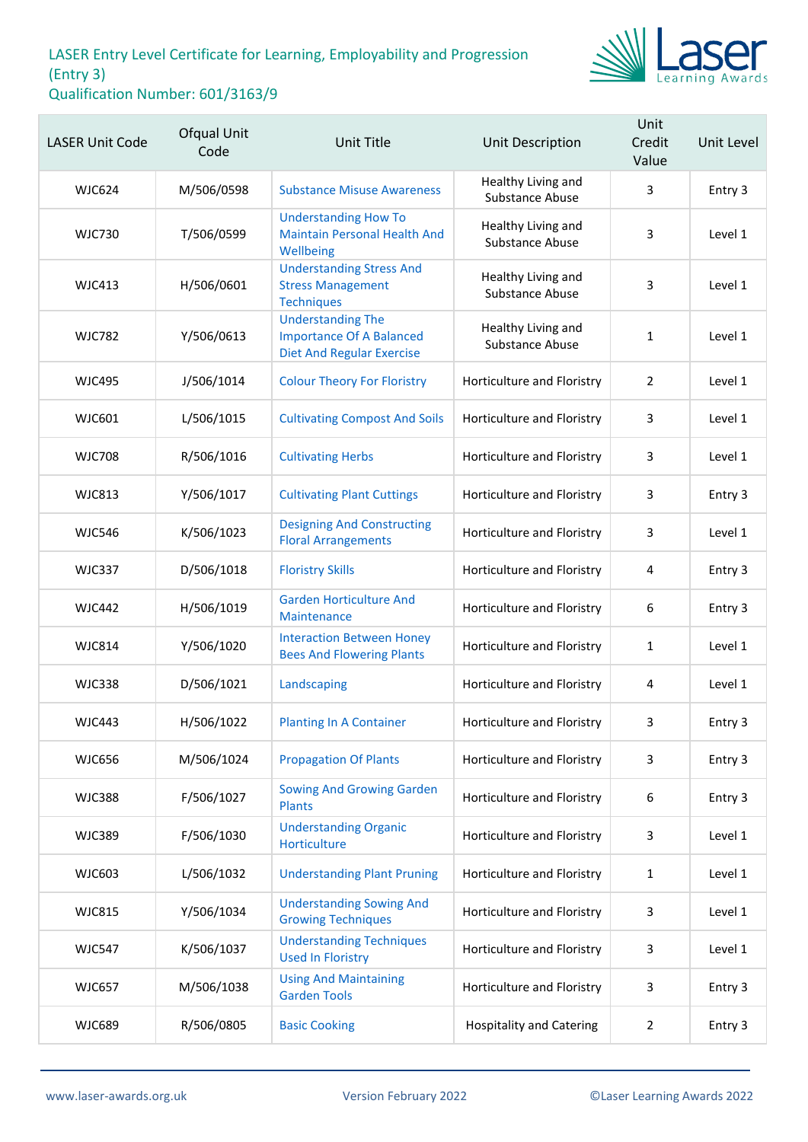

| <b>LASER Unit Code</b> | Ofqual Unit<br>Code | <b>Unit Title</b>                                                                               | Unit Description                      | Unit<br>Credit<br>Value | Unit Level |
|------------------------|---------------------|-------------------------------------------------------------------------------------------------|---------------------------------------|-------------------------|------------|
| <b>WJC624</b>          | M/506/0598          | <b>Substance Misuse Awareness</b>                                                               | Healthy Living and<br>Substance Abuse | 3                       | Entry 3    |
| <b>WJC730</b>          | T/506/0599          | <b>Understanding How To</b><br><b>Maintain Personal Health And</b><br>Wellbeing                 | Healthy Living and<br>Substance Abuse | 3                       | Level 1    |
| <b>WJC413</b>          | H/506/0601          | <b>Understanding Stress And</b><br><b>Stress Management</b><br><b>Techniques</b>                | Healthy Living and<br>Substance Abuse | 3                       | Level 1    |
| <b>WJC782</b>          | Y/506/0613          | <b>Understanding The</b><br><b>Importance Of A Balanced</b><br><b>Diet And Regular Exercise</b> | Healthy Living and<br>Substance Abuse | $\mathbf{1}$            | Level 1    |
| <b>WJC495</b>          | J/506/1014          | <b>Colour Theory For Floristry</b>                                                              | Horticulture and Floristry            | 2                       | Level 1    |
| WJC601                 | L/506/1015          | <b>Cultivating Compost And Soils</b>                                                            | Horticulture and Floristry            | 3                       | Level 1    |
| <b>WJC708</b>          | R/506/1016          | <b>Cultivating Herbs</b>                                                                        | Horticulture and Floristry            | 3                       | Level 1    |
| <b>WJC813</b>          | Y/506/1017          | <b>Cultivating Plant Cuttings</b>                                                               | Horticulture and Floristry            | 3                       | Entry 3    |
| <b>WJC546</b>          | K/506/1023          | <b>Designing And Constructing</b><br><b>Floral Arrangements</b>                                 | Horticulture and Floristry            | 3                       | Level 1    |
| <b>WJC337</b>          | D/506/1018          | <b>Floristry Skills</b>                                                                         | Horticulture and Floristry            | 4                       | Entry 3    |
| <b>WJC442</b>          | H/506/1019          | <b>Garden Horticulture And</b><br>Maintenance                                                   | Horticulture and Floristry            | 6                       | Entry 3    |
| <b>WJC814</b>          | Y/506/1020          | <b>Interaction Between Honey</b><br><b>Bees And Flowering Plants</b>                            | Horticulture and Floristry            | $\mathbf{1}$            | Level 1    |
| <b>WJC338</b>          | D/506/1021          | Landscaping                                                                                     | Horticulture and Floristry            | 4                       | Level 1    |
| <b>WJC443</b>          | H/506/1022          | <b>Planting In A Container</b>                                                                  | Horticulture and Floristry            | 3                       | Entry 3    |
| <b>WJC656</b>          | M/506/1024          | <b>Propagation Of Plants</b>                                                                    | Horticulture and Floristry            | 3                       | Entry 3    |
| <b>WJC388</b>          | F/506/1027          | <b>Sowing And Growing Garden</b><br><b>Plants</b>                                               | Horticulture and Floristry            | 6                       | Entry 3    |
| <b>WJC389</b>          | F/506/1030          | <b>Understanding Organic</b><br>Horticulture                                                    | Horticulture and Floristry            | 3                       | Level 1    |
| <b>WJC603</b>          | L/506/1032          | <b>Understanding Plant Pruning</b>                                                              | Horticulture and Floristry            | 1                       | Level 1    |
| <b>WJC815</b>          | Y/506/1034          | <b>Understanding Sowing And</b><br><b>Growing Techniques</b>                                    | Horticulture and Floristry            | 3                       | Level 1    |
| <b>WJC547</b>          | K/506/1037          | <b>Understanding Techniques</b><br><b>Used In Floristry</b>                                     | Horticulture and Floristry            | 3                       | Level 1    |
| <b>WJC657</b>          | M/506/1038          | <b>Using And Maintaining</b><br><b>Garden Tools</b>                                             | Horticulture and Floristry            | 3                       | Entry 3    |
| <b>WJC689</b>          | R/506/0805          | <b>Basic Cooking</b>                                                                            | <b>Hospitality and Catering</b>       | $\overline{2}$          | Entry 3    |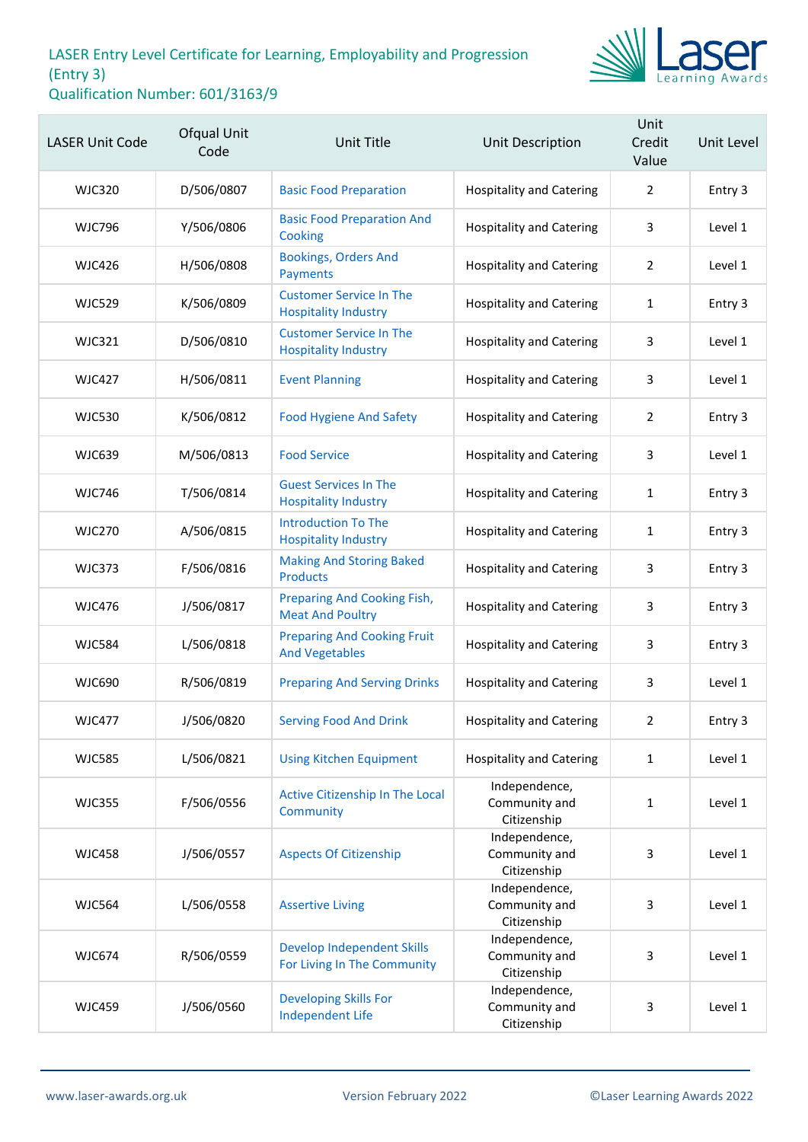

| <b>LASER Unit Code</b> | Ofqual Unit<br>Code | Unit Title                                                       | Unit Description                              | Unit<br>Credit<br>Value | Unit Level |
|------------------------|---------------------|------------------------------------------------------------------|-----------------------------------------------|-------------------------|------------|
| <b>WJC320</b>          | D/506/0807          | <b>Basic Food Preparation</b>                                    | <b>Hospitality and Catering</b>               | $\overline{2}$          | Entry 3    |
| <b>WJC796</b>          | Y/506/0806          | <b>Basic Food Preparation And</b><br>Cooking                     | <b>Hospitality and Catering</b>               | 3                       | Level 1    |
| <b>WJC426</b>          | H/506/0808          | <b>Bookings, Orders And</b><br>Payments                          | <b>Hospitality and Catering</b>               | 2                       | Level 1    |
| <b>WJC529</b>          | K/506/0809          | <b>Customer Service In The</b><br><b>Hospitality Industry</b>    | <b>Hospitality and Catering</b>               | 1                       | Entry 3    |
| <b>WJC321</b>          | D/506/0810          | <b>Customer Service In The</b><br><b>Hospitality Industry</b>    | <b>Hospitality and Catering</b>               | 3                       | Level 1    |
| <b>WJC427</b>          | H/506/0811          | <b>Event Planning</b>                                            | <b>Hospitality and Catering</b>               | 3                       | Level 1    |
| <b>WJC530</b>          | K/506/0812          | <b>Food Hygiene And Safety</b>                                   | <b>Hospitality and Catering</b>               | $\overline{2}$          | Entry 3    |
| <b>WJC639</b>          | M/506/0813          | <b>Food Service</b>                                              | <b>Hospitality and Catering</b>               | 3                       | Level 1    |
| <b>WJC746</b>          | T/506/0814          | <b>Guest Services In The</b><br><b>Hospitality Industry</b>      | <b>Hospitality and Catering</b>               | $\mathbf{1}$            | Entry 3    |
| <b>WJC270</b>          | A/506/0815          | <b>Introduction To The</b><br><b>Hospitality Industry</b>        | <b>Hospitality and Catering</b>               | 1                       | Entry 3    |
| <b>WJC373</b>          | F/506/0816          | <b>Making And Storing Baked</b><br><b>Products</b>               | <b>Hospitality and Catering</b>               | 3                       | Entry 3    |
| <b>WJC476</b>          | J/506/0817          | Preparing And Cooking Fish,<br><b>Meat And Poultry</b>           | <b>Hospitality and Catering</b>               | 3                       | Entry 3    |
| <b>WJC584</b>          | L/506/0818          | <b>Preparing And Cooking Fruit</b><br><b>And Vegetables</b>      | <b>Hospitality and Catering</b>               | 3                       | Entry 3    |
| <b>WJC690</b>          | R/506/0819          | <b>Preparing And Serving Drinks</b>                              | <b>Hospitality and Catering</b>               | 3                       | Level 1    |
| <b>WJC477</b>          | J/506/0820          | <b>Serving Food And Drink</b>                                    | <b>Hospitality and Catering</b>               | 2                       | Entry 3    |
| <b>WJC585</b>          | L/506/0821          | <b>Using Kitchen Equipment</b>                                   | <b>Hospitality and Catering</b>               | $\mathbf{1}$            | Level 1    |
| <b>WJC355</b>          | F/506/0556          | Active Citizenship In The Local<br>Community                     | Independence,<br>Community and<br>Citizenship | $\mathbf{1}$            | Level 1    |
| <b>WJC458</b>          | J/506/0557          | <b>Aspects Of Citizenship</b>                                    | Independence,<br>Community and<br>Citizenship | 3                       | Level 1    |
| <b>WJC564</b>          | L/506/0558          | <b>Assertive Living</b>                                          | Independence,<br>Community and<br>Citizenship | 3                       | Level 1    |
| <b>WJC674</b>          | R/506/0559          | <b>Develop Independent Skills</b><br>For Living In The Community | Independence,<br>Community and<br>Citizenship | 3                       | Level 1    |
| <b>WJC459</b>          | J/506/0560          | <b>Developing Skills For</b><br><b>Independent Life</b>          | Independence,<br>Community and<br>Citizenship | 3                       | Level 1    |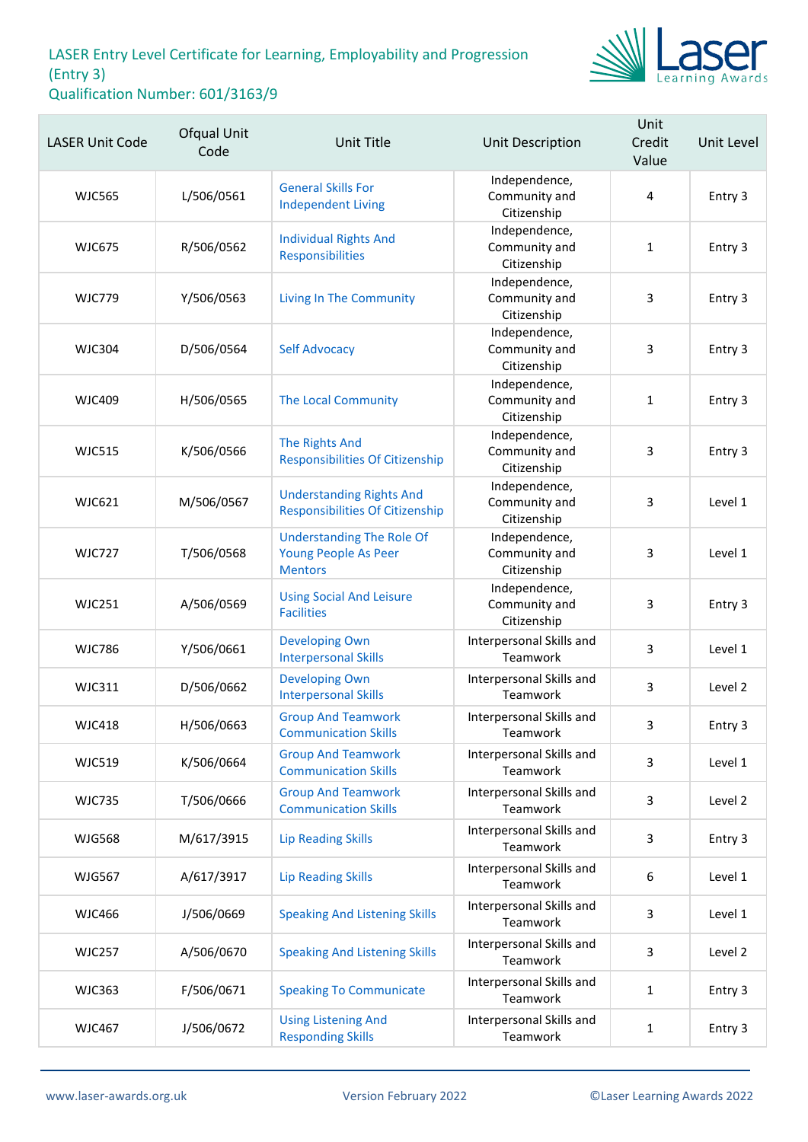

| <b>LASER Unit Code</b> | Ofqual Unit<br>Code | <b>Unit Title</b>                                                          | <b>Unit Description</b>                       | Unit<br>Credit<br>Value | Unit Level |
|------------------------|---------------------|----------------------------------------------------------------------------|-----------------------------------------------|-------------------------|------------|
| <b>WJC565</b>          | L/506/0561          | <b>General Skills For</b><br><b>Independent Living</b>                     | Independence,<br>Community and<br>Citizenship | 4                       | Entry 3    |
| <b>WJC675</b>          | R/506/0562          | <b>Individual Rights And</b><br>Responsibilities                           | Independence,<br>Community and<br>Citizenship | $\mathbf{1}$            | Entry 3    |
| <b>WJC779</b>          | Y/506/0563          | <b>Living In The Community</b>                                             | Independence,<br>Community and<br>Citizenship | 3                       | Entry 3    |
| <b>WJC304</b>          | D/506/0564          | <b>Self Advocacy</b>                                                       | Independence,<br>Community and<br>Citizenship | 3                       | Entry 3    |
| <b>WJC409</b>          | H/506/0565          | <b>The Local Community</b>                                                 | Independence,<br>Community and<br>Citizenship | $\mathbf{1}$            | Entry 3    |
| <b>WJC515</b>          | K/506/0566          | <b>The Rights And</b><br><b>Responsibilities Of Citizenship</b>            | Independence,<br>Community and<br>Citizenship | 3                       | Entry 3    |
| <b>WJC621</b>          | M/506/0567          | <b>Understanding Rights And</b><br><b>Responsibilities Of Citizenship</b>  | Independence,<br>Community and<br>Citizenship | 3                       | Level 1    |
| <b>WJC727</b>          | T/506/0568          | <b>Understanding The Role Of</b><br>Young People As Peer<br><b>Mentors</b> | Independence,<br>Community and<br>Citizenship | 3                       | Level 1    |
| <b>WJC251</b>          | A/506/0569          | <b>Using Social And Leisure</b><br><b>Facilities</b>                       | Independence,<br>Community and<br>Citizenship | 3                       | Entry 3    |
| <b>WJC786</b>          | Y/506/0661          | <b>Developing Own</b><br><b>Interpersonal Skills</b>                       | Interpersonal Skills and<br>Teamwork          | 3                       | Level 1    |
| <b>WJC311</b>          | D/506/0662          | <b>Developing Own</b><br><b>Interpersonal Skills</b>                       | Interpersonal Skills and<br>Teamwork          | 3                       | Level 2    |
| <b>WJC418</b>          | H/506/0663          | <b>Group And Teamwork</b><br><b>Communication Skills</b>                   | Interpersonal Skills and<br>Teamwork          | 3                       | Entry 3    |
| <b>WJC519</b>          | K/506/0664          | <b>Group And Teamwork</b><br><b>Communication Skills</b>                   | Interpersonal Skills and<br>Teamwork          | 3                       | Level 1    |
| <b>WJC735</b>          | T/506/0666          | <b>Group And Teamwork</b><br><b>Communication Skills</b>                   | Interpersonal Skills and<br>Teamwork          | 3                       | Level 2    |
| <b>WJG568</b>          | M/617/3915          | <b>Lip Reading Skills</b>                                                  | Interpersonal Skills and<br>Teamwork          | 3                       | Entry 3    |
| <b>WJG567</b>          | A/617/3917          | <b>Lip Reading Skills</b>                                                  | Interpersonal Skills and<br>Teamwork          | 6                       | Level 1    |
| <b>WJC466</b>          | J/506/0669          | <b>Speaking And Listening Skills</b>                                       | Interpersonal Skills and<br>Teamwork          | 3                       | Level 1    |
| <b>WJC257</b>          | A/506/0670          | <b>Speaking And Listening Skills</b>                                       | Interpersonal Skills and<br>Teamwork          | 3                       | Level 2    |
| <b>WJC363</b>          | F/506/0671          | <b>Speaking To Communicate</b>                                             | Interpersonal Skills and<br>Teamwork          | $\mathbf{1}$            | Entry 3    |
| <b>WJC467</b>          | J/506/0672          | <b>Using Listening And</b><br><b>Responding Skills</b>                     | Interpersonal Skills and<br>Teamwork          | $\mathbf{1}$            | Entry 3    |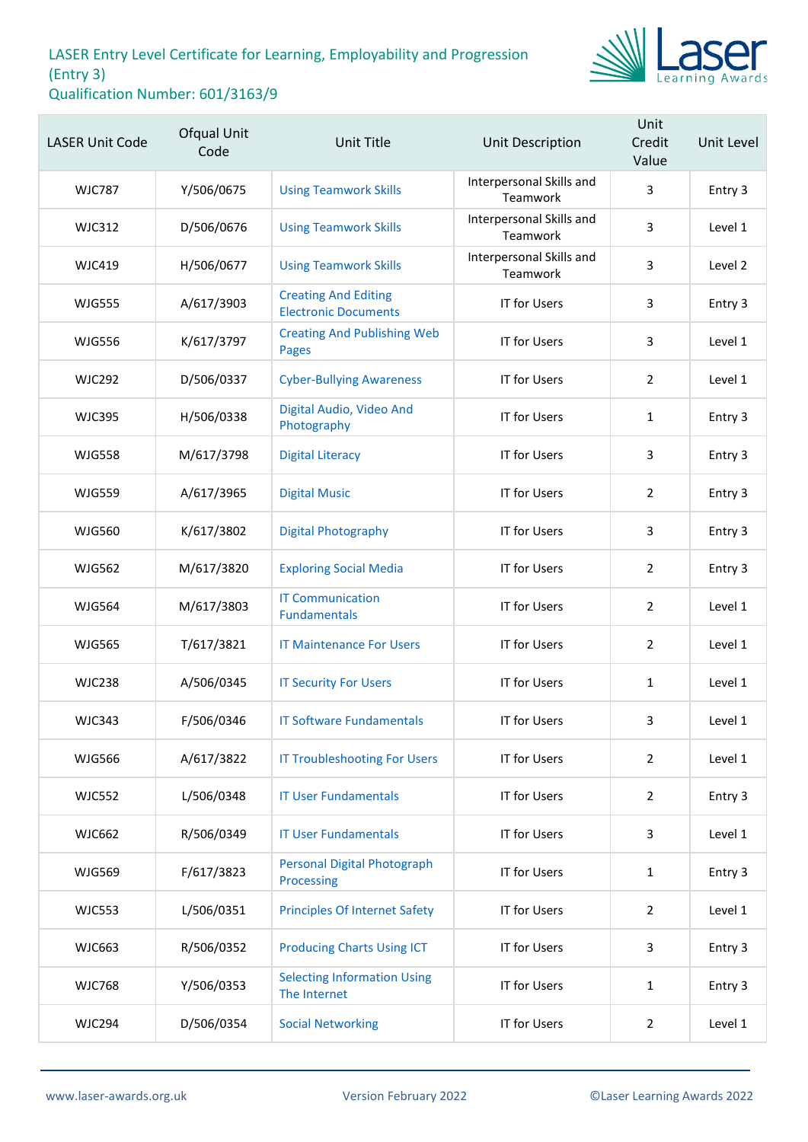

| <b>LASER Unit Code</b> | Ofqual Unit<br>Code | <b>Unit Title</b>                                          | Unit Description                     | Unit<br>Credit<br>Value | Unit Level |
|------------------------|---------------------|------------------------------------------------------------|--------------------------------------|-------------------------|------------|
| <b>WJC787</b>          | Y/506/0675          | <b>Using Teamwork Skills</b>                               | Interpersonal Skills and<br>Teamwork | 3                       | Entry 3    |
| <b>WJC312</b>          | D/506/0676          | <b>Using Teamwork Skills</b>                               | Interpersonal Skills and<br>Teamwork | 3                       | Level 1    |
| <b>WJC419</b>          | H/506/0677          | <b>Using Teamwork Skills</b>                               | Interpersonal Skills and<br>Teamwork | 3                       | Level 2    |
| <b>WJG555</b>          | A/617/3903          | <b>Creating And Editing</b><br><b>Electronic Documents</b> | <b>IT for Users</b>                  | 3                       | Entry 3    |
| <b>WJG556</b>          | K/617/3797          | <b>Creating And Publishing Web</b><br><b>Pages</b>         | <b>IT for Users</b>                  | 3                       | Level 1    |
| <b>WJC292</b>          | D/506/0337          | <b>Cyber-Bullying Awareness</b>                            | <b>IT for Users</b>                  | $\overline{2}$          | Level 1    |
| <b>WJC395</b>          | H/506/0338          | Digital Audio, Video And<br>Photography                    | <b>IT for Users</b>                  | 1                       | Entry 3    |
| <b>WJG558</b>          | M/617/3798          | <b>Digital Literacy</b>                                    | <b>IT for Users</b>                  | 3                       | Entry 3    |
| <b>WJG559</b>          | A/617/3965          | <b>Digital Music</b>                                       | <b>IT for Users</b>                  | 2                       | Entry 3    |
| <b>WJG560</b>          | K/617/3802          | <b>Digital Photography</b>                                 | <b>IT for Users</b>                  | 3                       | Entry 3    |
| <b>WJG562</b>          | M/617/3820          | <b>Exploring Social Media</b>                              | <b>IT for Users</b>                  | $\overline{2}$          | Entry 3    |
| <b>WJG564</b>          | M/617/3803          | <b>IT Communication</b><br><b>Fundamentals</b>             | <b>IT for Users</b>                  | $\overline{2}$          | Level 1    |
| <b>WJG565</b>          | T/617/3821          | <b>IT Maintenance For Users</b>                            | <b>IT for Users</b>                  | 2                       | Level 1    |
| <b>WJC238</b>          | A/506/0345          | <b>IT Security For Users</b>                               | <b>IT for Users</b>                  | $\mathbf{1}$            | Level 1    |
| <b>WJC343</b>          | F/506/0346          | <b>IT Software Fundamentals</b>                            | <b>IT for Users</b>                  | 3                       | Level 1    |
| <b>WJG566</b>          | A/617/3822          | <b>IT Troubleshooting For Users</b>                        | <b>IT for Users</b>                  | $\overline{2}$          | Level 1    |
| <b>WJC552</b>          | L/506/0348          | <b>IT User Fundamentals</b>                                | <b>IT for Users</b>                  | 2                       | Entry 3    |
| <b>WJC662</b>          | R/506/0349          | <b>IT User Fundamentals</b>                                | <b>IT for Users</b>                  | 3                       | Level 1    |
| <b>WJG569</b>          | F/617/3823          | <b>Personal Digital Photograph</b><br>Processing           | <b>IT for Users</b>                  | $\mathbf{1}$            | Entry 3    |
| <b>WJC553</b>          | L/506/0351          | <b>Principles Of Internet Safety</b>                       | <b>IT for Users</b>                  | $\overline{2}$          | Level 1    |
| <b>WJC663</b>          | R/506/0352          | <b>Producing Charts Using ICT</b>                          | <b>IT for Users</b>                  | 3                       | Entry 3    |
| <b>WJC768</b>          | Y/506/0353          | <b>Selecting Information Using</b><br>The Internet         | <b>IT for Users</b>                  | $\mathbf{1}$            | Entry 3    |
| <b>WJC294</b>          | D/506/0354          | <b>Social Networking</b>                                   | <b>IT for Users</b>                  | 2                       | Level 1    |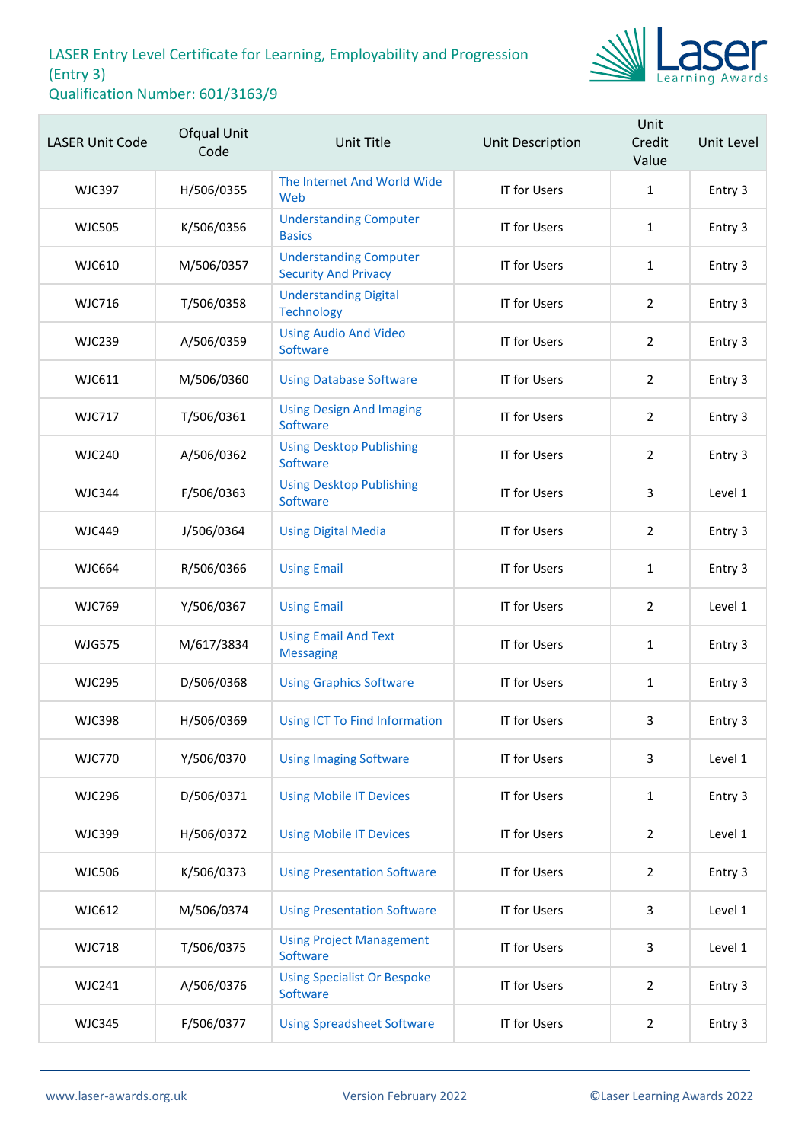

| <b>LASER Unit Code</b> | Ofqual Unit<br>Code | Unit Title                                                   | Unit Description    | Unit<br>Credit<br>Value | Unit Level |
|------------------------|---------------------|--------------------------------------------------------------|---------------------|-------------------------|------------|
| <b>WJC397</b>          | H/506/0355          | The Internet And World Wide<br>Web                           | <b>IT for Users</b> | $\mathbf{1}$            | Entry 3    |
| <b>WJC505</b>          | K/506/0356          | <b>Understanding Computer</b><br><b>Basics</b>               | <b>IT for Users</b> | $\mathbf{1}$            | Entry 3    |
| <b>WJC610</b>          | M/506/0357          | <b>Understanding Computer</b><br><b>Security And Privacy</b> | <b>IT for Users</b> | $\mathbf{1}$            | Entry 3    |
| <b>WJC716</b>          | T/506/0358          | <b>Understanding Digital</b><br><b>Technology</b>            | <b>IT for Users</b> | $\overline{2}$          | Entry 3    |
| <b>WJC239</b>          | A/506/0359          | <b>Using Audio And Video</b><br>Software                     | <b>IT for Users</b> | $\overline{2}$          | Entry 3    |
| WJC611                 | M/506/0360          | <b>Using Database Software</b>                               | <b>IT for Users</b> | $\overline{2}$          | Entry 3    |
| <b>WJC717</b>          | T/506/0361          | <b>Using Design And Imaging</b><br>Software                  | <b>IT for Users</b> | $\overline{2}$          | Entry 3    |
| <b>WJC240</b>          | A/506/0362          | <b>Using Desktop Publishing</b><br>Software                  | <b>IT for Users</b> | $\overline{2}$          | Entry 3    |
| <b>WJC344</b>          | F/506/0363          | <b>Using Desktop Publishing</b><br>Software                  | IT for Users        | 3                       | Level 1    |
| <b>WJC449</b>          | J/506/0364          | <b>Using Digital Media</b>                                   | IT for Users        | $\overline{2}$          | Entry 3    |
| <b>WJC664</b>          | R/506/0366          | <b>Using Email</b>                                           | <b>IT for Users</b> | $\mathbf{1}$            | Entry 3    |
| <b>WJC769</b>          | Y/506/0367          | <b>Using Email</b>                                           | IT for Users        | $\overline{2}$          | Level 1    |
| <b>WJG575</b>          | M/617/3834          | <b>Using Email And Text</b><br><b>Messaging</b>              | <b>IT for Users</b> | $\mathbf{1}$            | Entry 3    |
| <b>WJC295</b>          | D/506/0368          | <b>Using Graphics Software</b>                               | <b>IT for Users</b> | 1                       | Entry 3    |
| <b>WJC398</b>          | H/506/0369          | Using ICT To Find Information                                | IT for Users        | 3                       | Entry 3    |
| <b>WJC770</b>          | Y/506/0370          | <b>Using Imaging Software</b>                                | <b>IT for Users</b> | 3                       | Level 1    |
| <b>WJC296</b>          | D/506/0371          | <b>Using Mobile IT Devices</b>                               | IT for Users        | $\mathbf{1}$            | Entry 3    |
| <b>WJC399</b>          | H/506/0372          | <b>Using Mobile IT Devices</b>                               | <b>IT for Users</b> | $\overline{2}$          | Level 1    |
| <b>WJC506</b>          | K/506/0373          | <b>Using Presentation Software</b>                           | <b>IT for Users</b> | $\overline{2}$          | Entry 3    |
| <b>WJC612</b>          | M/506/0374          | <b>Using Presentation Software</b>                           | IT for Users        | 3                       | Level 1    |
| <b>WJC718</b>          | T/506/0375          | <b>Using Project Management</b><br>Software                  | <b>IT for Users</b> | 3                       | Level 1    |
| <b>WJC241</b>          | A/506/0376          | <b>Using Specialist Or Bespoke</b><br>Software               | <b>IT for Users</b> | $\overline{2}$          | Entry 3    |
| <b>WJC345</b>          | F/506/0377          | <b>Using Spreadsheet Software</b>                            | <b>IT for Users</b> | $\overline{2}$          | Entry 3    |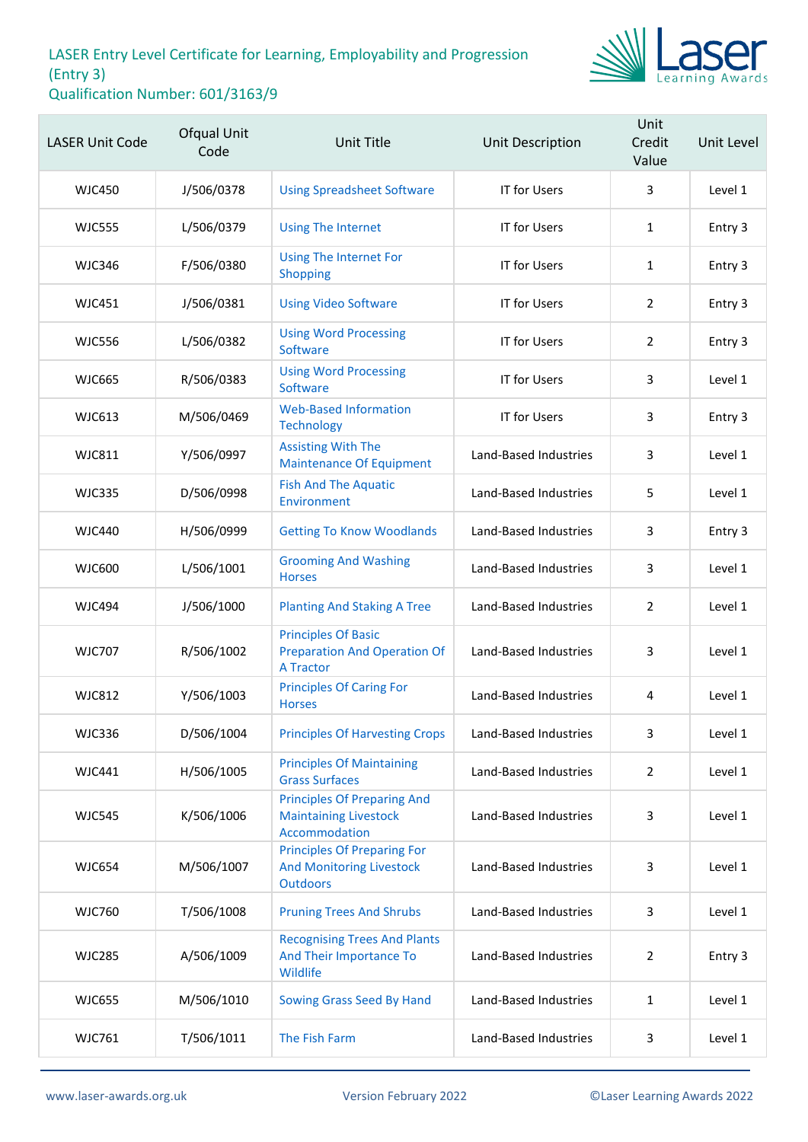

| <b>LASER Unit Code</b> | Ofqual Unit<br>Code | <b>Unit Title</b>                                                                        | <b>Unit Description</b> | Unit<br>Credit<br>Value | Unit Level |
|------------------------|---------------------|------------------------------------------------------------------------------------------|-------------------------|-------------------------|------------|
| <b>WJC450</b>          | J/506/0378          | <b>Using Spreadsheet Software</b>                                                        | IT for Users            | 3                       | Level 1    |
| <b>WJC555</b>          | L/506/0379          | <b>Using The Internet</b>                                                                | <b>IT for Users</b>     | $\mathbf{1}$            | Entry 3    |
| <b>WJC346</b>          | F/506/0380          | <b>Using The Internet For</b><br>Shopping                                                | IT for Users            | $\mathbf{1}$            | Entry 3    |
| <b>WJC451</b>          | J/506/0381          | <b>Using Video Software</b>                                                              | <b>IT for Users</b>     | $\overline{2}$          | Entry 3    |
| <b>WJC556</b>          | L/506/0382          | <b>Using Word Processing</b><br>Software                                                 | <b>IT for Users</b>     | 2                       | Entry 3    |
| <b>WJC665</b>          | R/506/0383          | <b>Using Word Processing</b><br>Software                                                 | <b>IT for Users</b>     | 3                       | Level 1    |
| <b>WJC613</b>          | M/506/0469          | <b>Web-Based Information</b><br><b>Technology</b>                                        | <b>IT for Users</b>     | 3                       | Entry 3    |
| WJC811                 | Y/506/0997          | <b>Assisting With The</b><br><b>Maintenance Of Equipment</b>                             | Land-Based Industries   | 3                       | Level 1    |
| <b>WJC335</b>          | D/506/0998          | <b>Fish And The Aquatic</b><br>Environment                                               | Land-Based Industries   | 5                       | Level 1    |
| WJC440                 | H/506/0999          | <b>Getting To Know Woodlands</b>                                                         | Land-Based Industries   | 3                       | Entry 3    |
| <b>WJC600</b>          | L/506/1001          | <b>Grooming And Washing</b><br><b>Horses</b>                                             | Land-Based Industries   | 3                       | Level 1    |
| <b>WJC494</b>          | J/506/1000          | <b>Planting And Staking A Tree</b>                                                       | Land-Based Industries   | $\overline{2}$          | Level 1    |
| <b>WJC707</b>          | R/506/1002          | <b>Principles Of Basic</b><br><b>Preparation And Operation Of</b><br><b>A Tractor</b>    | Land-Based Industries   | 3                       | Level 1    |
| <b>WJC812</b>          | Y/506/1003          | <b>Principles Of Caring For</b><br><b>Horses</b>                                         | Land-Based Industries   | 4                       | Level 1    |
| <b>WJC336</b>          | D/506/1004          | <b>Principles Of Harvesting Crops</b>                                                    | Land-Based Industries   | 3                       | Level 1    |
| <b>WJC441</b>          | H/506/1005          | <b>Principles Of Maintaining</b><br><b>Grass Surfaces</b>                                | Land-Based Industries   | $\overline{2}$          | Level 1    |
| <b>WJC545</b>          | K/506/1006          | <b>Principles Of Preparing And</b><br><b>Maintaining Livestock</b><br>Accommodation      | Land-Based Industries   | 3                       | Level 1    |
| <b>WJC654</b>          | M/506/1007          | <b>Principles Of Preparing For</b><br><b>And Monitoring Livestock</b><br><b>Outdoors</b> | Land-Based Industries   | 3                       | Level 1    |
| <b>WJC760</b>          | T/506/1008          | <b>Pruning Trees And Shrubs</b>                                                          | Land-Based Industries   | 3                       | Level 1    |
| <b>WJC285</b>          | A/506/1009          | <b>Recognising Trees And Plants</b><br>And Their Importance To<br>Wildlife               | Land-Based Industries   | $\overline{2}$          | Entry 3    |
| <b>WJC655</b>          | M/506/1010          | Sowing Grass Seed By Hand                                                                | Land-Based Industries   | $\mathbf{1}$            | Level 1    |
| <b>WJC761</b>          | T/506/1011          | The Fish Farm                                                                            | Land-Based Industries   | 3                       | Level 1    |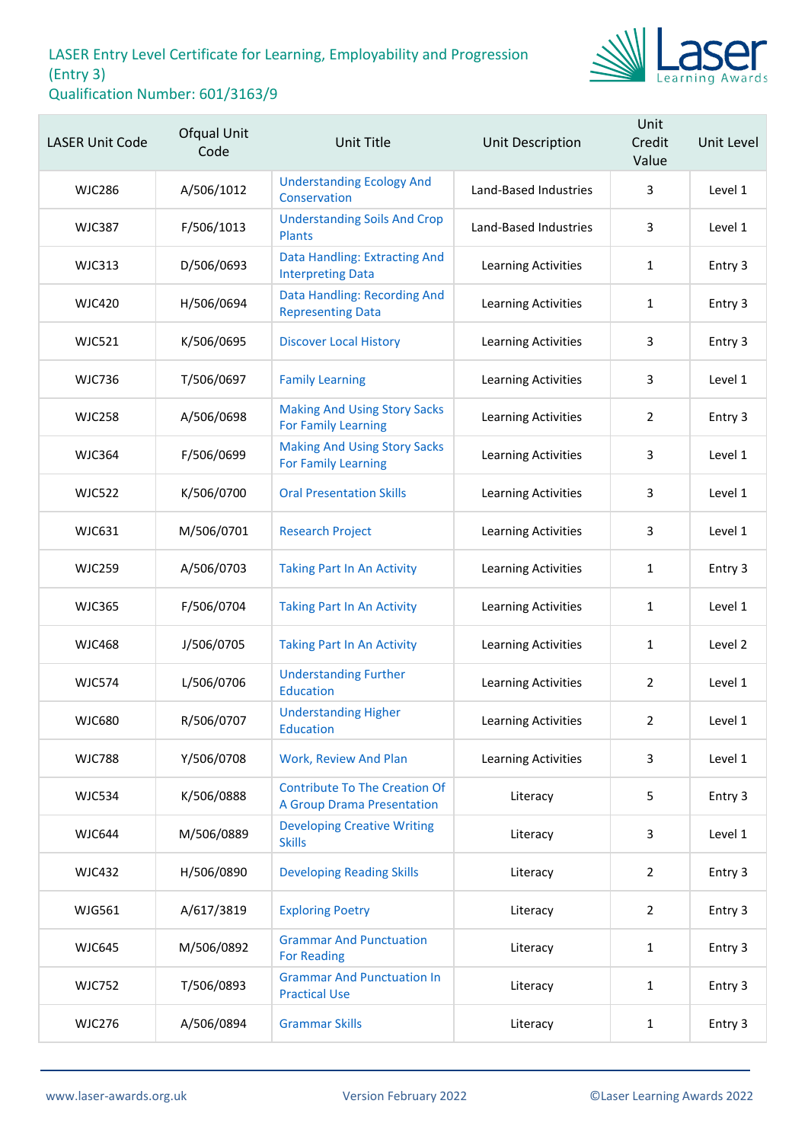

| <b>LASER Unit Code</b> | Ofqual Unit<br>Code | Unit Title                                                                | Unit Description           | Unit<br>Credit<br>Value | Unit Level |
|------------------------|---------------------|---------------------------------------------------------------------------|----------------------------|-------------------------|------------|
| <b>WJC286</b>          | A/506/1012          | <b>Understanding Ecology And</b><br>Conservation                          | Land-Based Industries      | 3                       | Level 1    |
| <b>WJC387</b>          | F/506/1013          | <b>Understanding Soils And Crop</b><br><b>Plants</b>                      | Land-Based Industries      | 3                       | Level 1    |
| <b>WJC313</b>          | D/506/0693          | Data Handling: Extracting And<br><b>Interpreting Data</b>                 | Learning Activities        | $\mathbf{1}$            | Entry 3    |
| <b>WJC420</b>          | H/506/0694          | Data Handling: Recording And<br><b>Representing Data</b>                  | Learning Activities        | 1                       | Entry 3    |
| <b>WJC521</b>          | K/506/0695          | <b>Discover Local History</b>                                             | Learning Activities        | 3                       | Entry 3    |
| <b>WJC736</b>          | T/506/0697          | <b>Family Learning</b>                                                    | Learning Activities        | 3                       | Level 1    |
| <b>WJC258</b>          | A/506/0698          | <b>Making And Using Story Sacks</b><br><b>For Family Learning</b>         | Learning Activities        | $\overline{2}$          | Entry 3    |
| <b>WJC364</b>          | F/506/0699          | <b>Making And Using Story Sacks</b><br><b>For Family Learning</b>         | Learning Activities        | 3                       | Level 1    |
| <b>WJC522</b>          | K/506/0700          | <b>Oral Presentation Skills</b>                                           | Learning Activities        | 3                       | Level 1    |
| <b>WJC631</b>          | M/506/0701          | <b>Research Project</b>                                                   | Learning Activities        | 3                       | Level 1    |
| <b>WJC259</b>          | A/506/0703          | <b>Taking Part In An Activity</b>                                         | Learning Activities        | $\mathbf{1}$            | Entry 3    |
| <b>WJC365</b>          | F/506/0704          | <b>Taking Part In An Activity</b>                                         | Learning Activities        | 1                       | Level 1    |
| <b>WJC468</b>          | J/506/0705          | <b>Taking Part In An Activity</b>                                         | Learning Activities        | 1                       | Level 2    |
| <b>WJC574</b>          | L/506/0706          | <b>Understanding Further</b><br><b>Education</b>                          | <b>Learning Activities</b> | $\overline{2}$          | Level 1    |
| <b>WJC680</b>          | R/506/0707          | <b>Understanding Higher</b><br>Education                                  | Learning Activities        | 2                       | Level 1    |
| <b>WJC788</b>          | Y/506/0708          | Work, Review And Plan                                                     | Learning Activities        | 3                       | Level 1    |
| <b>WJC534</b>          | K/506/0888          | <b>Contribute To The Creation Of</b><br><b>A Group Drama Presentation</b> | Literacy                   | 5                       | Entry 3    |
| <b>WJC644</b>          | M/506/0889          | <b>Developing Creative Writing</b><br><b>Skills</b>                       | Literacy                   | 3                       | Level 1    |
| <b>WJC432</b>          | H/506/0890          | <b>Developing Reading Skills</b>                                          | Literacy                   | $\overline{2}$          | Entry 3    |
| <b>WJG561</b>          | A/617/3819          | <b>Exploring Poetry</b>                                                   | Literacy                   | $\overline{2}$          | Entry 3    |
| <b>WJC645</b>          | M/506/0892          | <b>Grammar And Punctuation</b><br><b>For Reading</b>                      | Literacy                   | $\mathbf{1}$            | Entry 3    |
| <b>WJC752</b>          | T/506/0893          | <b>Grammar And Punctuation In</b><br><b>Practical Use</b>                 | Literacy                   | $\mathbf{1}$            | Entry 3    |
| <b>WJC276</b>          | A/506/0894          | <b>Grammar Skills</b>                                                     | Literacy                   | 1                       | Entry 3    |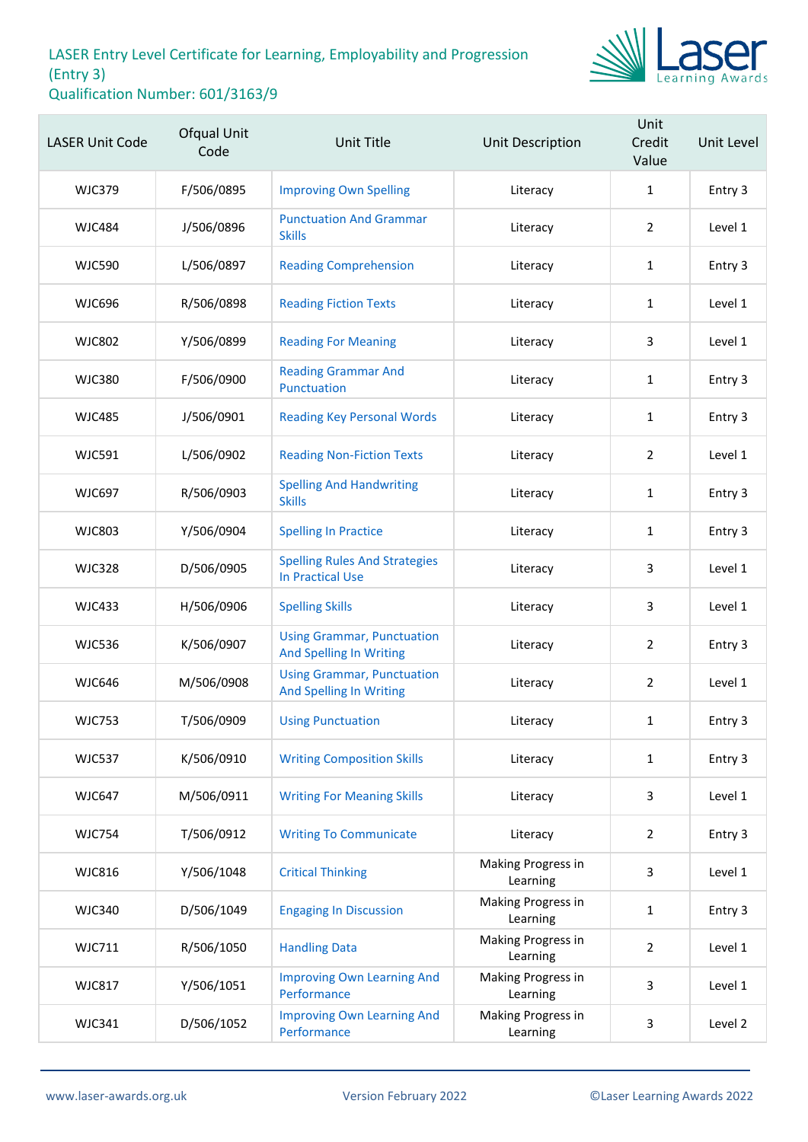

| <b>LASER Unit Code</b> | Ofqual Unit<br>Code | <b>Unit Title</b>                                                   | Unit Description               | Unit<br>Credit<br>Value | Unit Level |
|------------------------|---------------------|---------------------------------------------------------------------|--------------------------------|-------------------------|------------|
| <b>WJC379</b>          | F/506/0895          | <b>Improving Own Spelling</b>                                       | Literacy                       | $\mathbf{1}$            | Entry 3    |
| <b>WJC484</b>          | J/506/0896          | <b>Punctuation And Grammar</b><br><b>Skills</b>                     | Literacy                       | $\overline{2}$          | Level 1    |
| <b>WJC590</b>          | L/506/0897          | <b>Reading Comprehension</b>                                        | Literacy                       | $\mathbf{1}$            | Entry 3    |
| <b>WJC696</b>          | R/506/0898          | <b>Reading Fiction Texts</b>                                        | Literacy                       | 1                       | Level 1    |
| <b>WJC802</b>          | Y/506/0899          | <b>Reading For Meaning</b>                                          | Literacy                       | 3                       | Level 1    |
| <b>WJC380</b>          | F/506/0900          | <b>Reading Grammar And</b><br>Punctuation                           | Literacy                       | $\mathbf{1}$            | Entry 3    |
| <b>WJC485</b>          | J/506/0901          | <b>Reading Key Personal Words</b>                                   | Literacy                       | $\mathbf{1}$            | Entry 3    |
| <b>WJC591</b>          | L/506/0902          | <b>Reading Non-Fiction Texts</b>                                    | Literacy                       | $\overline{2}$          | Level 1    |
| <b>WJC697</b>          | R/506/0903          | <b>Spelling And Handwriting</b><br><b>Skills</b>                    | Literacy                       | $\mathbf{1}$            | Entry 3    |
| <b>WJC803</b>          | Y/506/0904          | <b>Spelling In Practice</b>                                         | Literacy                       | $\mathbf{1}$            | Entry 3    |
| <b>WJC328</b>          | D/506/0905          | <b>Spelling Rules And Strategies</b><br><b>In Practical Use</b>     | Literacy                       | 3                       | Level 1    |
| <b>WJC433</b>          | H/506/0906          | <b>Spelling Skills</b>                                              | Literacy                       | 3                       | Level 1    |
| <b>WJC536</b>          | K/506/0907          | <b>Using Grammar, Punctuation</b><br><b>And Spelling In Writing</b> | Literacy                       | $\overline{2}$          | Entry 3    |
| <b>WJC646</b>          | M/506/0908          | <b>Using Grammar, Punctuation</b><br><b>And Spelling In Writing</b> | Literacy                       | $\overline{2}$          | Level 1    |
| <b>WJC753</b>          | T/506/0909          | <b>Using Punctuation</b>                                            | Literacy                       | 1                       | Entry 3    |
| <b>WJC537</b>          | K/506/0910          | <b>Writing Composition Skills</b>                                   | Literacy                       | $\mathbf{1}$            | Entry 3    |
| <b>WJC647</b>          | M/506/0911          | <b>Writing For Meaning Skills</b>                                   | Literacy                       | 3                       | Level 1    |
| <b>WJC754</b>          | T/506/0912          | <b>Writing To Communicate</b>                                       | Literacy                       | $\overline{2}$          | Entry 3    |
| <b>WJC816</b>          | Y/506/1048          | <b>Critical Thinking</b>                                            | Making Progress in<br>Learning | 3                       | Level 1    |
| <b>WJC340</b>          | D/506/1049          | <b>Engaging In Discussion</b>                                       | Making Progress in<br>Learning | 1                       | Entry 3    |
| <b>WJC711</b>          | R/506/1050          | <b>Handling Data</b>                                                | Making Progress in<br>Learning | 2                       | Level 1    |
| <b>WJC817</b>          | Y/506/1051          | <b>Improving Own Learning And</b><br>Performance                    | Making Progress in<br>Learning | 3                       | Level 1    |
| <b>WJC341</b>          | D/506/1052          | <b>Improving Own Learning And</b><br>Performance                    | Making Progress in<br>Learning | 3                       | Level 2    |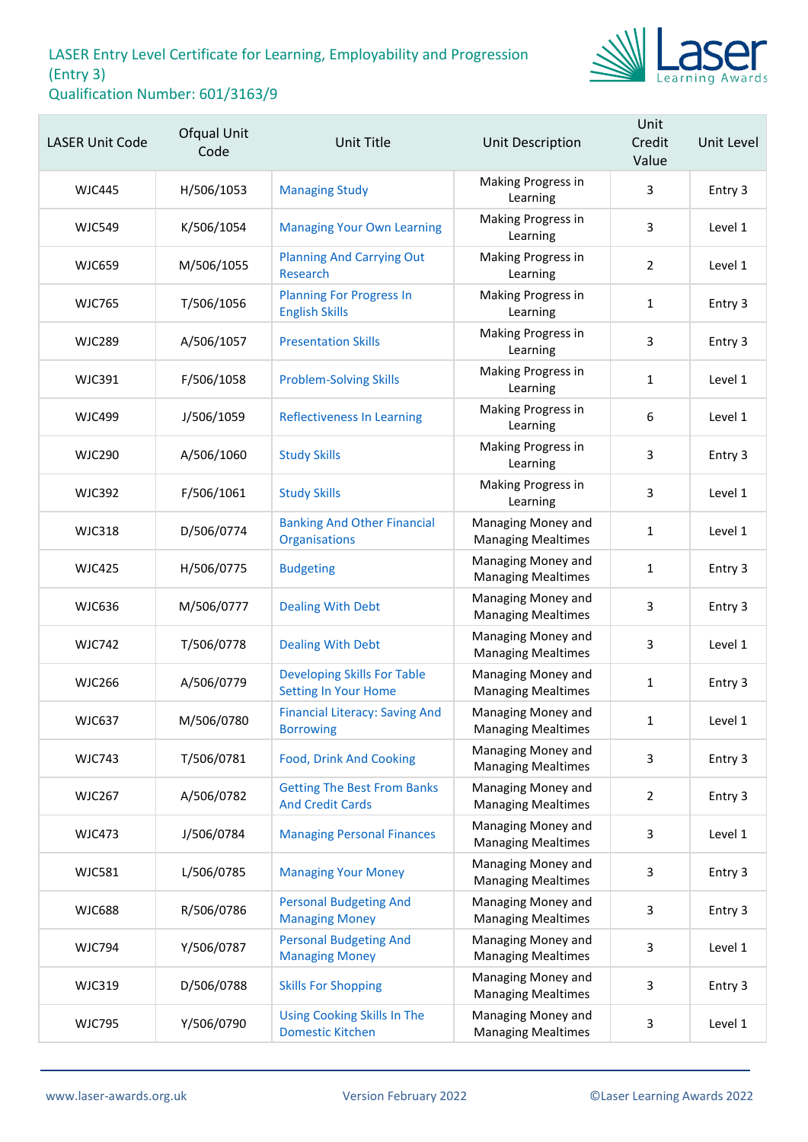

| <b>LASER Unit Code</b> | <b>Ofqual Unit</b><br>Code | Unit Title                                                        | Unit Description                                | Unit<br>Credit<br>Value | Unit Level |
|------------------------|----------------------------|-------------------------------------------------------------------|-------------------------------------------------|-------------------------|------------|
| WJC445                 | H/506/1053                 | <b>Managing Study</b>                                             | Making Progress in<br>Learning                  | 3                       | Entry 3    |
| <b>WJC549</b>          | K/506/1054                 | <b>Managing Your Own Learning</b>                                 | Making Progress in<br>Learning                  | 3                       | Level 1    |
| <b>WJC659</b>          | M/506/1055                 | <b>Planning And Carrying Out</b><br>Research                      | Making Progress in<br>Learning                  | 2                       | Level 1    |
| <b>WJC765</b>          | T/506/1056                 | <b>Planning For Progress In</b><br><b>English Skills</b>          | Making Progress in<br>Learning                  | 1                       | Entry 3    |
| <b>WJC289</b>          | A/506/1057                 | <b>Presentation Skills</b>                                        | Making Progress in<br>Learning                  | 3                       | Entry 3    |
| <b>WJC391</b>          | F/506/1058                 | <b>Problem-Solving Skills</b>                                     | Making Progress in<br>Learning                  | 1                       | Level 1    |
| <b>WJC499</b>          | J/506/1059                 | <b>Reflectiveness In Learning</b>                                 | Making Progress in<br>Learning                  | 6                       | Level 1    |
| <b>WJC290</b>          | A/506/1060                 | <b>Study Skills</b>                                               | Making Progress in<br>Learning                  | 3                       | Entry 3    |
| <b>WJC392</b>          | F/506/1061                 | <b>Study Skills</b>                                               | Making Progress in<br>Learning                  | 3                       | Level 1    |
| <b>WJC318</b>          | D/506/0774                 | <b>Banking And Other Financial</b><br>Organisations               | Managing Money and<br><b>Managing Mealtimes</b> | 1                       | Level 1    |
| <b>WJC425</b>          | H/506/0775                 | <b>Budgeting</b>                                                  | Managing Money and<br><b>Managing Mealtimes</b> | $\mathbf{1}$            | Entry 3    |
| <b>WJC636</b>          | M/506/0777                 | <b>Dealing With Debt</b>                                          | Managing Money and<br><b>Managing Mealtimes</b> | 3                       | Entry 3    |
| <b>WJC742</b>          | T/506/0778                 | <b>Dealing With Debt</b>                                          | Managing Money and<br><b>Managing Mealtimes</b> | 3                       | Level 1    |
| <b>WJC266</b>          | A/506/0779                 | <b>Developing Skills For Table</b><br><b>Setting In Your Home</b> | Managing Money and<br><b>Managing Mealtimes</b> | 1                       | Entry 3    |
| <b>WJC637</b>          | M/506/0780                 | <b>Financial Literacy: Saving And</b><br><b>Borrowing</b>         | Managing Money and<br><b>Managing Mealtimes</b> | 1                       | Level 1    |
| <b>WJC743</b>          | T/506/0781                 | <b>Food, Drink And Cooking</b>                                    | Managing Money and<br><b>Managing Mealtimes</b> | 3                       | Entry 3    |
| <b>WJC267</b>          | A/506/0782                 | <b>Getting The Best From Banks</b><br><b>And Credit Cards</b>     | Managing Money and<br><b>Managing Mealtimes</b> | $\overline{2}$          | Entry 3    |
| <b>WJC473</b>          | J/506/0784                 | <b>Managing Personal Finances</b>                                 | Managing Money and<br><b>Managing Mealtimes</b> | 3                       | Level 1    |
| <b>WJC581</b>          | L/506/0785                 | <b>Managing Your Money</b>                                        | Managing Money and<br><b>Managing Mealtimes</b> | 3                       | Entry 3    |
| <b>WJC688</b>          | R/506/0786                 | <b>Personal Budgeting And</b><br><b>Managing Money</b>            | Managing Money and<br><b>Managing Mealtimes</b> | 3                       | Entry 3    |
| <b>WJC794</b>          | Y/506/0787                 | <b>Personal Budgeting And</b><br><b>Managing Money</b>            | Managing Money and<br><b>Managing Mealtimes</b> | 3                       | Level 1    |
| <b>WJC319</b>          | D/506/0788                 | <b>Skills For Shopping</b>                                        | Managing Money and<br><b>Managing Mealtimes</b> | 3                       | Entry 3    |
| <b>WJC795</b>          | Y/506/0790                 | <b>Using Cooking Skills In The</b><br><b>Domestic Kitchen</b>     | Managing Money and<br><b>Managing Mealtimes</b> | 3                       | Level 1    |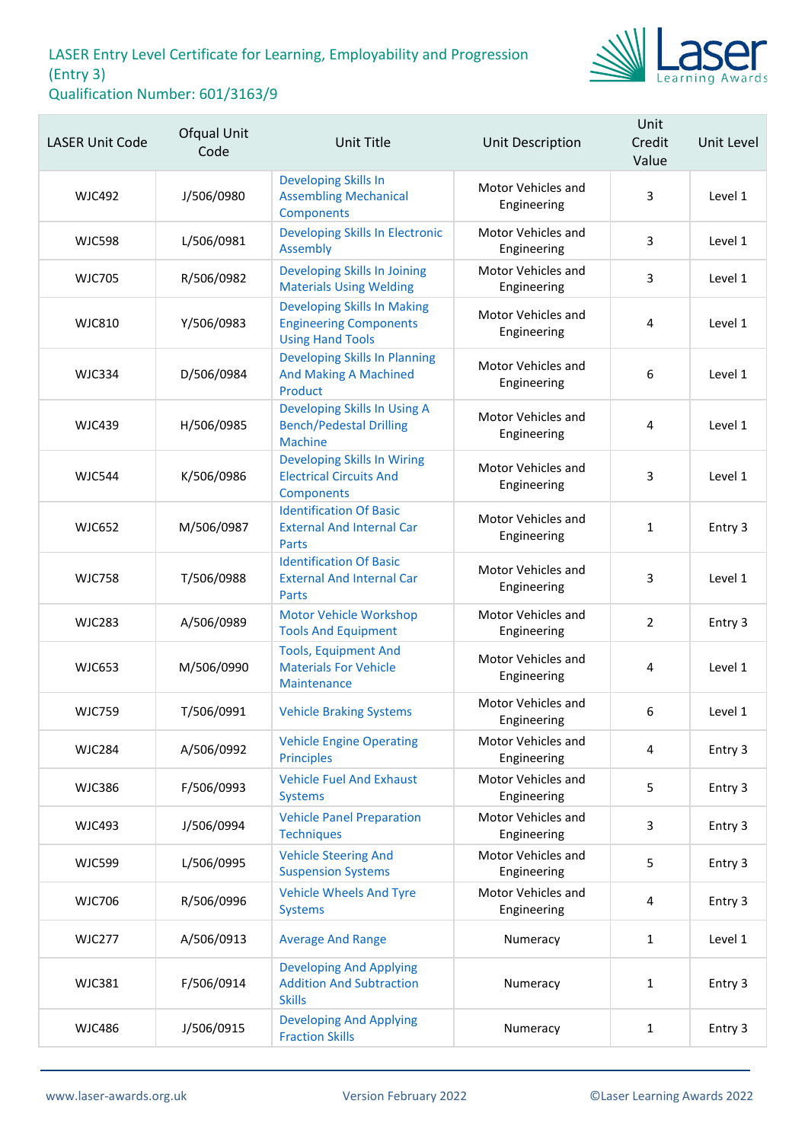

| <b>LASER Unit Code</b> | Ofqual Unit<br>Code | <b>Unit Title</b>                                                                              | Unit Description                  | Unit<br>Credit<br>Value | Unit Level |
|------------------------|---------------------|------------------------------------------------------------------------------------------------|-----------------------------------|-------------------------|------------|
| <b>WJC492</b>          | J/506/0980          | <b>Developing Skills In</b><br><b>Assembling Mechanical</b><br>Components                      | Motor Vehicles and<br>Engineering | 3                       | Level 1    |
| <b>WJC598</b>          | L/506/0981          | Developing Skills In Electronic<br>Assembly                                                    | Motor Vehicles and<br>Engineering | 3                       | Level 1    |
| <b>WJC705</b>          | R/506/0982          | Developing Skills In Joining<br><b>Materials Using Welding</b>                                 | Motor Vehicles and<br>Engineering | 3                       | Level 1    |
| <b>WJC810</b>          | Y/506/0983          | <b>Developing Skills In Making</b><br><b>Engineering Components</b><br><b>Using Hand Tools</b> | Motor Vehicles and<br>Engineering | 4                       | Level 1    |
| <b>WJC334</b>          | D/506/0984          | <b>Developing Skills In Planning</b><br><b>And Making A Machined</b><br>Product                | Motor Vehicles and<br>Engineering | 6                       | Level 1    |
| <b>WJC439</b>          | H/506/0985          | Developing Skills In Using A<br><b>Bench/Pedestal Drilling</b><br><b>Machine</b>               | Motor Vehicles and<br>Engineering | 4                       | Level 1    |
| <b>WJC544</b>          | K/506/0986          | <b>Developing Skills In Wiring</b><br><b>Electrical Circuits And</b><br>Components             | Motor Vehicles and<br>Engineering | 3                       | Level 1    |
| <b>WJC652</b>          | M/506/0987          | <b>Identification Of Basic</b><br><b>External And Internal Car</b><br><b>Parts</b>             | Motor Vehicles and<br>Engineering | $\mathbf{1}$            | Entry 3    |
| <b>WJC758</b>          | T/506/0988          | <b>Identification Of Basic</b><br><b>External And Internal Car</b><br><b>Parts</b>             | Motor Vehicles and<br>Engineering | 3                       | Level 1    |
| <b>WJC283</b>          | A/506/0989          | <b>Motor Vehicle Workshop</b><br><b>Tools And Equipment</b>                                    | Motor Vehicles and<br>Engineering | $\overline{2}$          | Entry 3    |
| <b>WJC653</b>          | M/506/0990          | <b>Tools, Equipment And</b><br><b>Materials For Vehicle</b><br>Maintenance                     | Motor Vehicles and<br>Engineering | 4                       | Level 1    |
| <b>WJC759</b>          | T/506/0991          | <b>Vehicle Braking Systems</b>                                                                 | Motor Vehicles and<br>Engineering | 6                       | Level 1    |
| <b>WJC284</b>          | A/506/0992          | <b>Vehicle Engine Operating</b><br><b>Principles</b>                                           | Motor Vehicles and<br>Engineering | 4                       | Entry 3    |
| <b>WJC386</b>          | F/506/0993          | <b>Vehicle Fuel And Exhaust</b><br><b>Systems</b>                                              | Motor Vehicles and<br>Engineering | 5                       | Entry 3    |
| <b>WJC493</b>          | J/506/0994          | <b>Vehicle Panel Preparation</b><br><b>Techniques</b>                                          | Motor Vehicles and<br>Engineering | 3                       | Entry 3    |
| <b>WJC599</b>          | L/506/0995          | <b>Vehicle Steering And</b><br><b>Suspension Systems</b>                                       | Motor Vehicles and<br>Engineering | 5                       | Entry 3    |
| <b>WJC706</b>          | R/506/0996          | <b>Vehicle Wheels And Tyre</b><br><b>Systems</b>                                               | Motor Vehicles and<br>Engineering | 4                       | Entry 3    |
| <b>WJC277</b>          | A/506/0913          | <b>Average And Range</b>                                                                       | Numeracy                          | $\mathbf{1}$            | Level 1    |
| <b>WJC381</b>          | F/506/0914          | <b>Developing And Applying</b><br><b>Addition And Subtraction</b><br><b>Skills</b>             | Numeracy                          | $\mathbf{1}$            | Entry 3    |
| <b>WJC486</b>          | J/506/0915          | <b>Developing And Applying</b><br><b>Fraction Skills</b>                                       | Numeracy                          | $\mathbf{1}$            | Entry 3    |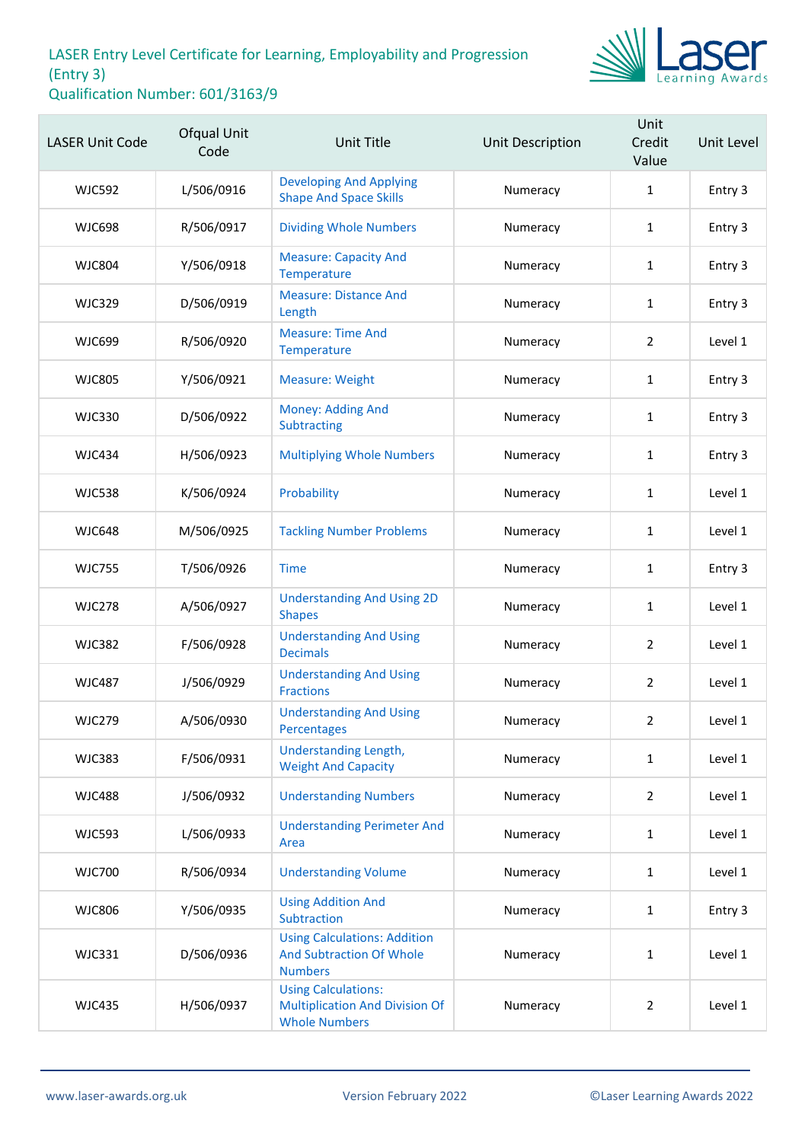

| <b>LASER Unit Code</b> | Ofqual Unit<br>Code | <b>Unit Title</b>                                                                           | Unit Description | Unit<br>Credit<br>Value | Unit Level |
|------------------------|---------------------|---------------------------------------------------------------------------------------------|------------------|-------------------------|------------|
| <b>WJC592</b>          | L/506/0916          | <b>Developing And Applying</b><br><b>Shape And Space Skills</b>                             | Numeracy         | $\mathbf{1}$            | Entry 3    |
| <b>WJC698</b>          | R/506/0917          | <b>Dividing Whole Numbers</b>                                                               | Numeracy         | $\mathbf{1}$            | Entry 3    |
| <b>WJC804</b>          | Y/506/0918          | <b>Measure: Capacity And</b><br>Temperature                                                 | Numeracy         | $\mathbf{1}$            | Entry 3    |
| <b>WJC329</b>          | D/506/0919          | <b>Measure: Distance And</b><br>Length                                                      | Numeracy         | 1                       | Entry 3    |
| <b>WJC699</b>          | R/506/0920          | <b>Measure: Time And</b><br>Temperature                                                     | Numeracy         | $\overline{2}$          | Level 1    |
| <b>WJC805</b>          | Y/506/0921          | <b>Measure: Weight</b>                                                                      | Numeracy         | $\mathbf{1}$            | Entry 3    |
| <b>WJC330</b>          | D/506/0922          | Money: Adding And<br>Subtracting                                                            | Numeracy         | $\mathbf{1}$            | Entry 3    |
| <b>WJC434</b>          | H/506/0923          | <b>Multiplying Whole Numbers</b>                                                            | Numeracy         | $\mathbf{1}$            | Entry 3    |
| <b>WJC538</b>          | K/506/0924          | Probability                                                                                 | Numeracy         | $\mathbf{1}$            | Level 1    |
| <b>WJC648</b>          | M/506/0925          | <b>Tackling Number Problems</b>                                                             | Numeracy         | $\mathbf{1}$            | Level 1    |
| <b>WJC755</b>          | T/506/0926          | <b>Time</b>                                                                                 | Numeracy         | $\mathbf{1}$            | Entry 3    |
| <b>WJC278</b>          | A/506/0927          | <b>Understanding And Using 2D</b><br><b>Shapes</b>                                          | Numeracy         | $\mathbf{1}$            | Level 1    |
| <b>WJC382</b>          | F/506/0928          | <b>Understanding And Using</b><br><b>Decimals</b>                                           | Numeracy         | $\overline{2}$          | Level 1    |
| <b>WJC487</b>          | J/506/0929          | <b>Understanding And Using</b><br><b>Fractions</b>                                          | Numeracy         | $\overline{2}$          | Level 1    |
| <b>WJC279</b>          | A/506/0930          | <b>Understanding And Using</b><br>Percentages                                               | Numeracy         | $\overline{2}$          | Level 1    |
| <b>WJC383</b>          | F/506/0931          | Understanding Length,<br><b>Weight And Capacity</b>                                         | Numeracy         | $\mathbf{1}$            | Level 1    |
| <b>WJC488</b>          | J/506/0932          | <b>Understanding Numbers</b>                                                                | Numeracy         | $\overline{2}$          | Level 1    |
| <b>WJC593</b>          | L/506/0933          | <b>Understanding Perimeter And</b><br>Area                                                  | Numeracy         | $\mathbf{1}$            | Level 1    |
| <b>WJC700</b>          | R/506/0934          | <b>Understanding Volume</b>                                                                 | Numeracy         | $\mathbf{1}$            | Level 1    |
| <b>WJC806</b>          | Y/506/0935          | <b>Using Addition And</b><br>Subtraction                                                    | Numeracy         | $\mathbf{1}$            | Entry 3    |
| <b>WJC331</b>          | D/506/0936          | <b>Using Calculations: Addition</b><br><b>And Subtraction Of Whole</b><br><b>Numbers</b>    | Numeracy         | $\mathbf{1}$            | Level 1    |
| <b>WJC435</b>          | H/506/0937          | <b>Using Calculations:</b><br><b>Multiplication And Division Of</b><br><b>Whole Numbers</b> | Numeracy         | $\overline{2}$          | Level 1    |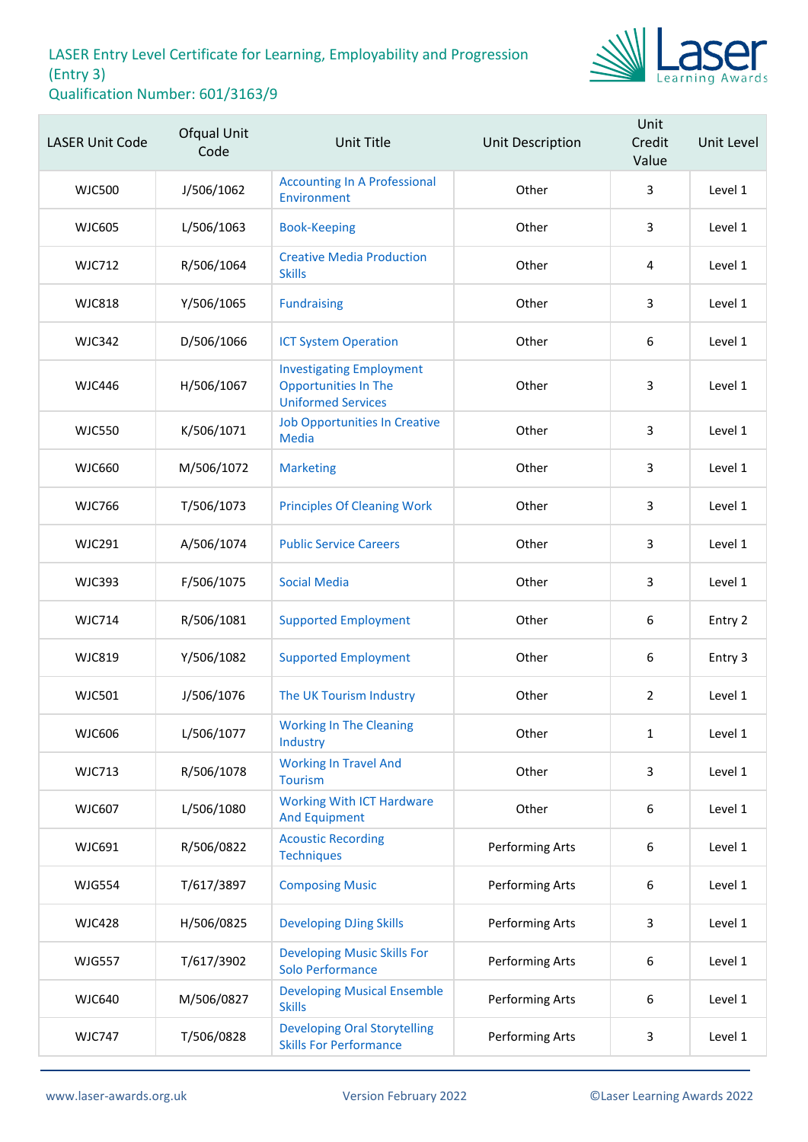

| <b>LASER Unit Code</b> | Ofqual Unit<br>Code | <b>Unit Title</b>                                                                           | Unit Description | Unit<br>Credit<br>Value | Unit Level |
|------------------------|---------------------|---------------------------------------------------------------------------------------------|------------------|-------------------------|------------|
| <b>WJC500</b>          | J/506/1062          | <b>Accounting In A Professional</b><br>Environment                                          | Other            | 3                       | Level 1    |
| <b>WJC605</b>          | L/506/1063          | <b>Book-Keeping</b>                                                                         | Other            | 3                       | Level 1    |
| <b>WJC712</b>          | R/506/1064          | <b>Creative Media Production</b><br><b>Skills</b>                                           | Other            | 4                       | Level 1    |
| <b>WJC818</b>          | Y/506/1065          | <b>Fundraising</b>                                                                          | Other            | 3                       | Level 1    |
| <b>WJC342</b>          | D/506/1066          | <b>ICT System Operation</b>                                                                 | Other            | 6                       | Level 1    |
| <b>WJC446</b>          | H/506/1067          | <b>Investigating Employment</b><br><b>Opportunities In The</b><br><b>Uniformed Services</b> | Other            | 3                       | Level 1    |
| <b>WJC550</b>          | K/506/1071          | <b>Job Opportunities In Creative</b><br><b>Media</b>                                        | Other            | 3                       | Level 1    |
| <b>WJC660</b>          | M/506/1072          | <b>Marketing</b>                                                                            | Other            | 3                       | Level 1    |
| <b>WJC766</b>          | T/506/1073          | <b>Principles Of Cleaning Work</b>                                                          | Other            | 3                       | Level 1    |
| <b>WJC291</b>          | A/506/1074          | <b>Public Service Careers</b>                                                               | Other            | 3                       | Level 1    |
| <b>WJC393</b>          | F/506/1075          | <b>Social Media</b>                                                                         | Other            | 3                       | Level 1    |
| <b>WJC714</b>          | R/506/1081          | <b>Supported Employment</b>                                                                 | Other            | 6                       | Entry 2    |
| <b>WJC819</b>          | Y/506/1082          | <b>Supported Employment</b>                                                                 | Other            | $\boldsymbol{6}$        | Entry 3    |
| <b>WJC501</b>          | J/506/1076          | The UK Tourism Industry                                                                     | Other            | $\overline{2}$          | Level 1    |
| <b>WJC606</b>          | L/506/1077          | <b>Working In The Cleaning</b><br>Industry                                                  | Other            | 1                       | Level 1    |
| <b>WJC713</b>          | R/506/1078          | <b>Working In Travel And</b><br><b>Tourism</b>                                              | Other            | 3                       | Level 1    |
| <b>WJC607</b>          | L/506/1080          | <b>Working With ICT Hardware</b><br><b>And Equipment</b>                                    | Other            | $\boldsymbol{6}$        | Level 1    |
| WJC691                 | R/506/0822          | <b>Acoustic Recording</b><br><b>Techniques</b>                                              | Performing Arts  | 6                       | Level 1    |
| <b>WJG554</b>          | T/617/3897          | <b>Composing Music</b>                                                                      | Performing Arts  | 6                       | Level 1    |
| <b>WJC428</b>          | H/506/0825          | <b>Developing DJing Skills</b>                                                              | Performing Arts  | 3                       | Level 1    |
| <b>WJG557</b>          | T/617/3902          | <b>Developing Music Skills For</b><br><b>Solo Performance</b>                               | Performing Arts  | 6                       | Level 1    |
| <b>WJC640</b>          | M/506/0827          | <b>Developing Musical Ensemble</b><br><b>Skills</b>                                         | Performing Arts  | 6                       | Level 1    |
| <b>WJC747</b>          | T/506/0828          | <b>Developing Oral Storytelling</b><br><b>Skills For Performance</b>                        | Performing Arts  | 3                       | Level 1    |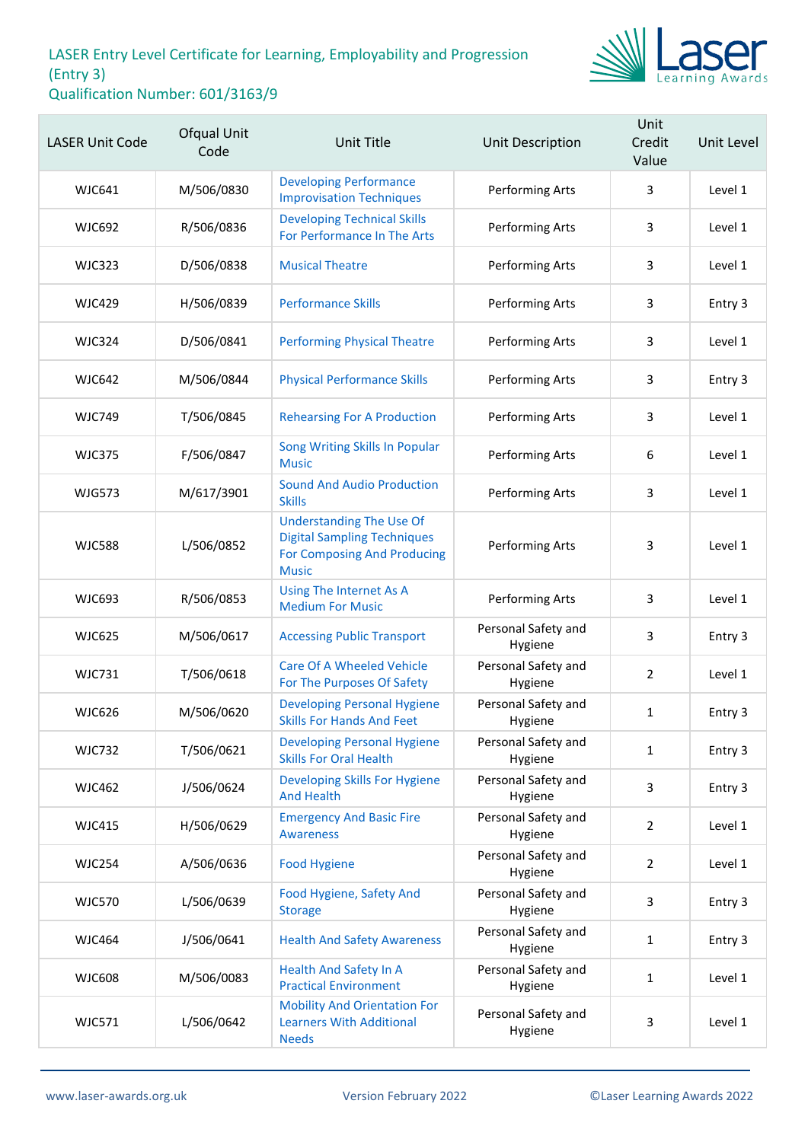

| <b>LASER Unit Code</b> | Ofqual Unit<br>Code | <b>Unit Title</b>                                                                                                           | Unit Description               | Unit<br>Credit<br>Value | <b>Unit Level</b> |
|------------------------|---------------------|-----------------------------------------------------------------------------------------------------------------------------|--------------------------------|-------------------------|-------------------|
| <b>WJC641</b>          | M/506/0830          | <b>Developing Performance</b><br><b>Improvisation Techniques</b>                                                            | Performing Arts                | 3                       | Level 1           |
| <b>WJC692</b>          | R/506/0836          | <b>Developing Technical Skills</b><br>For Performance In The Arts                                                           | Performing Arts                | 3                       | Level 1           |
| <b>WJC323</b>          | D/506/0838          | <b>Musical Theatre</b>                                                                                                      | Performing Arts                | 3                       | Level 1           |
| <b>WJC429</b>          | H/506/0839          | <b>Performance Skills</b>                                                                                                   | Performing Arts                | 3                       | Entry 3           |
| <b>WJC324</b>          | D/506/0841          | <b>Performing Physical Theatre</b>                                                                                          | Performing Arts                | 3                       | Level 1           |
| <b>WJC642</b>          | M/506/0844          | <b>Physical Performance Skills</b>                                                                                          | Performing Arts                | 3                       | Entry 3           |
| <b>WJC749</b>          | T/506/0845          | <b>Rehearsing For A Production</b>                                                                                          | Performing Arts                | 3                       | Level 1           |
| <b>WJC375</b>          | F/506/0847          | Song Writing Skills In Popular<br><b>Music</b>                                                                              | Performing Arts                | 6                       | Level 1           |
| <b>WJG573</b>          | M/617/3901          | <b>Sound And Audio Production</b><br><b>Skills</b>                                                                          | Performing Arts                | 3                       | Level 1           |
| <b>WJC588</b>          | L/506/0852          | <b>Understanding The Use Of</b><br><b>Digital Sampling Techniques</b><br><b>For Composing And Producing</b><br><b>Music</b> | Performing Arts                | 3                       | Level 1           |
| <b>WJC693</b>          | R/506/0853          | Using The Internet As A<br><b>Medium For Music</b>                                                                          | Performing Arts                | 3                       | Level 1           |
| <b>WJC625</b>          | M/506/0617          | <b>Accessing Public Transport</b>                                                                                           | Personal Safety and<br>Hygiene | 3                       | Entry 3           |
| <b>WJC731</b>          | T/506/0618          | <b>Care Of A Wheeled Vehicle</b><br>For The Purposes Of Safety                                                              | Personal Safety and<br>Hygiene | 2                       | Level 1           |
| <b>WJC626</b>          | M/506/0620          | <b>Developing Personal Hygiene</b><br><b>Skills For Hands And Feet</b>                                                      | Personal Safety and<br>Hygiene | $\mathbf{1}$            | Entry 3           |
| <b>WJC732</b>          | T/506/0621          | <b>Developing Personal Hygiene</b><br><b>Skills For Oral Health</b>                                                         | Personal Safety and<br>Hygiene | $\mathbf{1}$            | Entry 3           |
| <b>WJC462</b>          | J/506/0624          | <b>Developing Skills For Hygiene</b><br><b>And Health</b>                                                                   | Personal Safety and<br>Hygiene | 3                       | Entry 3           |
| <b>WJC415</b>          | H/506/0629          | <b>Emergency And Basic Fire</b><br><b>Awareness</b>                                                                         | Personal Safety and<br>Hygiene | 2                       | Level 1           |
| <b>WJC254</b>          | A/506/0636          | <b>Food Hygiene</b>                                                                                                         | Personal Safety and<br>Hygiene | $\overline{2}$          | Level 1           |
| <b>WJC570</b>          | L/506/0639          | Food Hygiene, Safety And<br><b>Storage</b>                                                                                  | Personal Safety and<br>Hygiene | 3                       | Entry 3           |
| <b>WJC464</b>          | J/506/0641          | <b>Health And Safety Awareness</b>                                                                                          | Personal Safety and<br>Hygiene | $\mathbf{1}$            | Entry 3           |
| <b>WJC608</b>          | M/506/0083          | <b>Health And Safety In A</b><br><b>Practical Environment</b>                                                               | Personal Safety and<br>Hygiene | $\mathbf{1}$            | Level 1           |
| <b>WJC571</b>          | L/506/0642          | <b>Mobility And Orientation For</b><br><b>Learners With Additional</b><br><b>Needs</b>                                      | Personal Safety and<br>Hygiene | 3                       | Level 1           |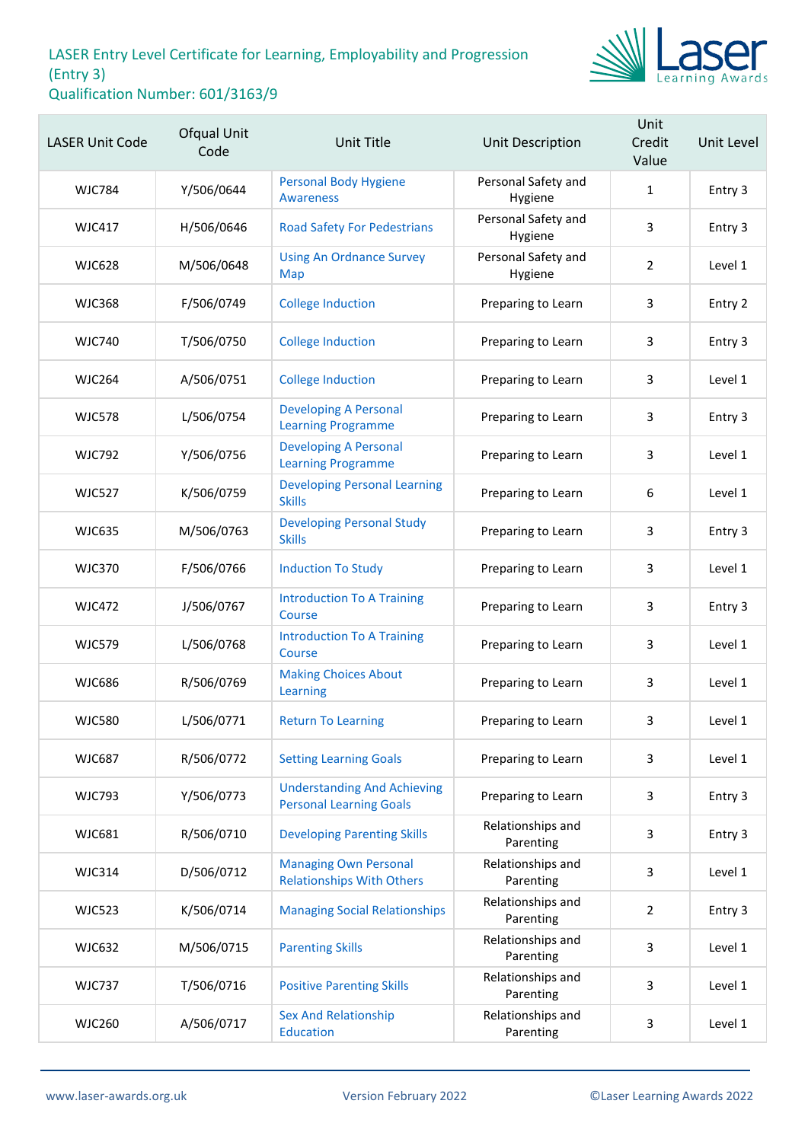

| <b>LASER Unit Code</b> | <b>Ofqual Unit</b><br>Code | Unit Title                                                           | Unit Description               | Unit<br>Credit<br>Value | Unit Level |
|------------------------|----------------------------|----------------------------------------------------------------------|--------------------------------|-------------------------|------------|
| <b>WJC784</b>          | Y/506/0644                 | <b>Personal Body Hygiene</b><br>Awareness                            | Personal Safety and<br>Hygiene | $\mathbf{1}$            | Entry 3    |
| <b>WJC417</b>          | H/506/0646                 | <b>Road Safety For Pedestrians</b>                                   | Personal Safety and<br>Hygiene | 3                       | Entry 3    |
| <b>WJC628</b>          | M/506/0648                 | <b>Using An Ordnance Survey</b><br>Map                               | Personal Safety and<br>Hygiene | $\overline{2}$          | Level 1    |
| <b>WJC368</b>          | F/506/0749                 | <b>College Induction</b>                                             | Preparing to Learn             | 3                       | Entry 2    |
| <b>WJC740</b>          | T/506/0750                 | <b>College Induction</b>                                             | Preparing to Learn             | 3                       | Entry 3    |
| <b>WJC264</b>          | A/506/0751                 | <b>College Induction</b>                                             | Preparing to Learn             | 3                       | Level 1    |
| <b>WJC578</b>          | L/506/0754                 | <b>Developing A Personal</b><br><b>Learning Programme</b>            | Preparing to Learn             | 3                       | Entry 3    |
| <b>WJC792</b>          | Y/506/0756                 | <b>Developing A Personal</b><br><b>Learning Programme</b>            | Preparing to Learn             | 3                       | Level 1    |
| <b>WJC527</b>          | K/506/0759                 | <b>Developing Personal Learning</b><br><b>Skills</b>                 | Preparing to Learn             | $\boldsymbol{6}$        | Level 1    |
| <b>WJC635</b>          | M/506/0763                 | <b>Developing Personal Study</b><br><b>Skills</b>                    | Preparing to Learn             | 3                       | Entry 3    |
| <b>WJC370</b>          | F/506/0766                 | <b>Induction To Study</b>                                            | Preparing to Learn             | 3                       | Level 1    |
| <b>WJC472</b>          | J/506/0767                 | <b>Introduction To A Training</b><br>Course                          | Preparing to Learn             | 3                       | Entry 3    |
| <b>WJC579</b>          | L/506/0768                 | <b>Introduction To A Training</b><br>Course                          | Preparing to Learn             | 3                       | Level 1    |
| <b>WJC686</b>          | R/506/0769                 | <b>Making Choices About</b><br>Learning                              | Preparing to Learn             | 3                       | Level 1    |
| <b>WJC580</b>          | L/506/0771                 | <b>Return To Learning</b>                                            | Preparing to Learn             | 3                       | Level 1    |
| <b>WJC687</b>          | R/506/0772                 | <b>Setting Learning Goals</b>                                        | Preparing to Learn             | 3                       | Level 1    |
| <b>WJC793</b>          | Y/506/0773                 | <b>Understanding And Achieving</b><br><b>Personal Learning Goals</b> | Preparing to Learn             | 3                       | Entry 3    |
| <b>WJC681</b>          | R/506/0710                 | <b>Developing Parenting Skills</b>                                   | Relationships and<br>Parenting | 3                       | Entry 3    |
| <b>WJC314</b>          | D/506/0712                 | <b>Managing Own Personal</b><br><b>Relationships With Others</b>     | Relationships and<br>Parenting | 3                       | Level 1    |
| <b>WJC523</b>          | K/506/0714                 | <b>Managing Social Relationships</b>                                 | Relationships and<br>Parenting | $\overline{2}$          | Entry 3    |
| <b>WJC632</b>          | M/506/0715                 | <b>Parenting Skills</b>                                              | Relationships and<br>Parenting | 3                       | Level 1    |
| <b>WJC737</b>          | T/506/0716                 | <b>Positive Parenting Skills</b>                                     | Relationships and<br>Parenting | 3                       | Level 1    |
| <b>WJC260</b>          | A/506/0717                 | <b>Sex And Relationship</b><br>Education                             | Relationships and<br>Parenting | 3                       | Level 1    |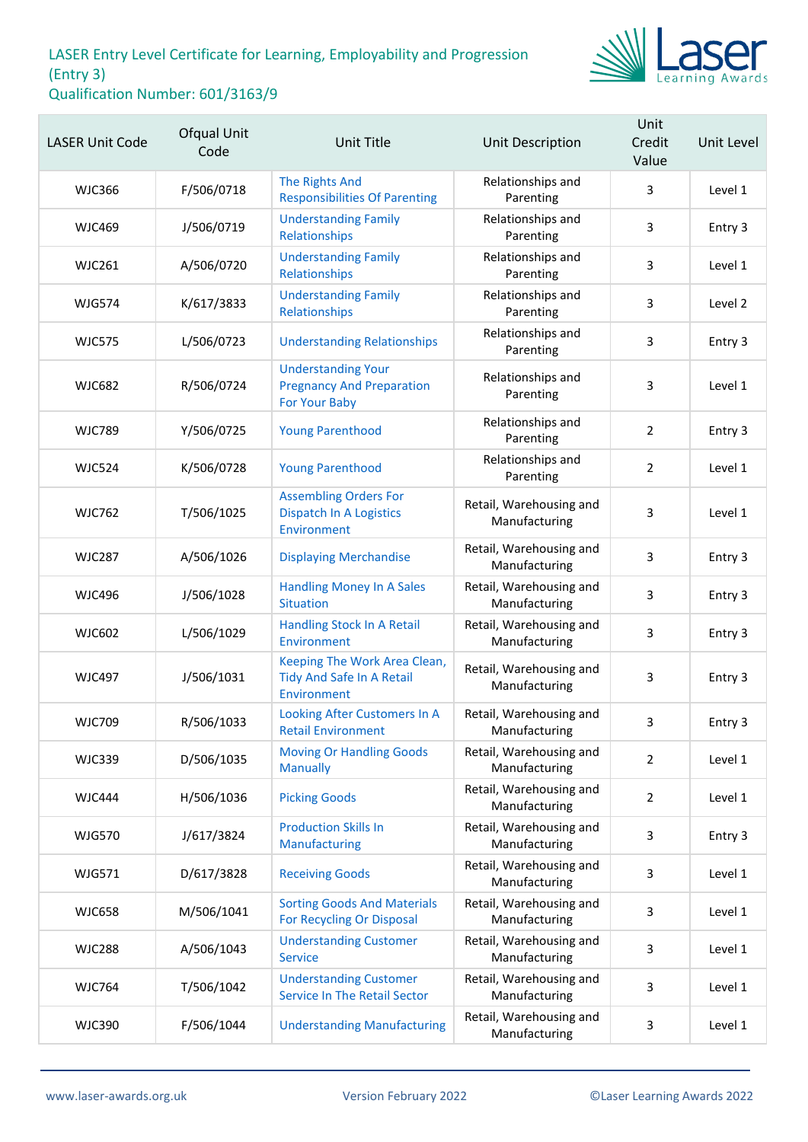

| <b>LASER Unit Code</b> | Ofqual Unit<br>Code | <b>Unit Title</b>                                                              | Unit Description                         | Unit<br>Credit<br>Value | Unit Level |
|------------------------|---------------------|--------------------------------------------------------------------------------|------------------------------------------|-------------------------|------------|
| <b>WJC366</b>          | F/506/0718          | <b>The Rights And</b><br><b>Responsibilities Of Parenting</b>                  | Relationships and<br>Parenting           | 3                       | Level 1    |
| <b>WJC469</b>          | J/506/0719          | <b>Understanding Family</b><br>Relationships                                   | Relationships and<br>Parenting           | 3                       | Entry 3    |
| <b>WJC261</b>          | A/506/0720          | <b>Understanding Family</b><br>Relationships                                   | Relationships and<br>Parenting           | 3                       | Level 1    |
| <b>WJG574</b>          | K/617/3833          | <b>Understanding Family</b><br>Relationships                                   | Relationships and<br>Parenting           | 3                       | Level 2    |
| <b>WJC575</b>          | L/506/0723          | <b>Understanding Relationships</b>                                             | Relationships and<br>Parenting           | 3                       | Entry 3    |
| <b>WJC682</b>          | R/506/0724          | <b>Understanding Your</b><br><b>Pregnancy And Preparation</b><br>For Your Baby | Relationships and<br>Parenting           | 3                       | Level 1    |
| <b>WJC789</b>          | Y/506/0725          | <b>Young Parenthood</b>                                                        | Relationships and<br>Parenting           | $\overline{2}$          | Entry 3    |
| <b>WJC524</b>          | K/506/0728          | <b>Young Parenthood</b>                                                        | Relationships and<br>Parenting           | $\overline{2}$          | Level 1    |
| <b>WJC762</b>          | T/506/1025          | <b>Assembling Orders For</b><br><b>Dispatch In A Logistics</b><br>Environment  | Retail, Warehousing and<br>Manufacturing | 3                       | Level 1    |
| <b>WJC287</b>          | A/506/1026          | <b>Displaying Merchandise</b>                                                  | Retail, Warehousing and<br>Manufacturing | 3                       | Entry 3    |
| <b>WJC496</b>          | J/506/1028          | <b>Handling Money In A Sales</b><br><b>Situation</b>                           | Retail, Warehousing and<br>Manufacturing | 3                       | Entry 3    |
| <b>WJC602</b>          | L/506/1029          | Handling Stock In A Retail<br>Environment                                      | Retail, Warehousing and<br>Manufacturing | 3                       | Entry 3    |
| <b>WJC497</b>          | J/506/1031          | Keeping The Work Area Clean,<br>Tidy And Safe In A Retail<br>Environment       | Retail, Warehousing and<br>Manufacturing | 3                       | Entry 3    |
| <b>WJC709</b>          | R/506/1033          | Looking After Customers In A<br><b>Retail Environment</b>                      | Retail, Warehousing and<br>Manufacturing | 3                       | Entry 3    |
| <b>WJC339</b>          | D/506/1035          | <b>Moving Or Handling Goods</b><br><b>Manually</b>                             | Retail, Warehousing and<br>Manufacturing | $\overline{2}$          | Level 1    |
| <b>WJC444</b>          | H/506/1036          | <b>Picking Goods</b>                                                           | Retail, Warehousing and<br>Manufacturing | $\overline{2}$          | Level 1    |
| <b>WJG570</b>          | J/617/3824          | <b>Production Skills In</b><br>Manufacturing                                   | Retail, Warehousing and<br>Manufacturing | 3                       | Entry 3    |
| WJG571                 | D/617/3828          | <b>Receiving Goods</b>                                                         | Retail, Warehousing and<br>Manufacturing | 3                       | Level 1    |
| <b>WJC658</b>          | M/506/1041          | <b>Sorting Goods And Materials</b><br>For Recycling Or Disposal                | Retail, Warehousing and<br>Manufacturing | 3                       | Level 1    |
| <b>WJC288</b>          | A/506/1043          | <b>Understanding Customer</b><br><b>Service</b>                                | Retail, Warehousing and<br>Manufacturing | 3                       | Level 1    |
| <b>WJC764</b>          | T/506/1042          | <b>Understanding Customer</b><br>Service In The Retail Sector                  | Retail, Warehousing and<br>Manufacturing | 3                       | Level 1    |
| <b>WJC390</b>          | F/506/1044          | <b>Understanding Manufacturing</b>                                             | Retail, Warehousing and<br>Manufacturing | 3                       | Level 1    |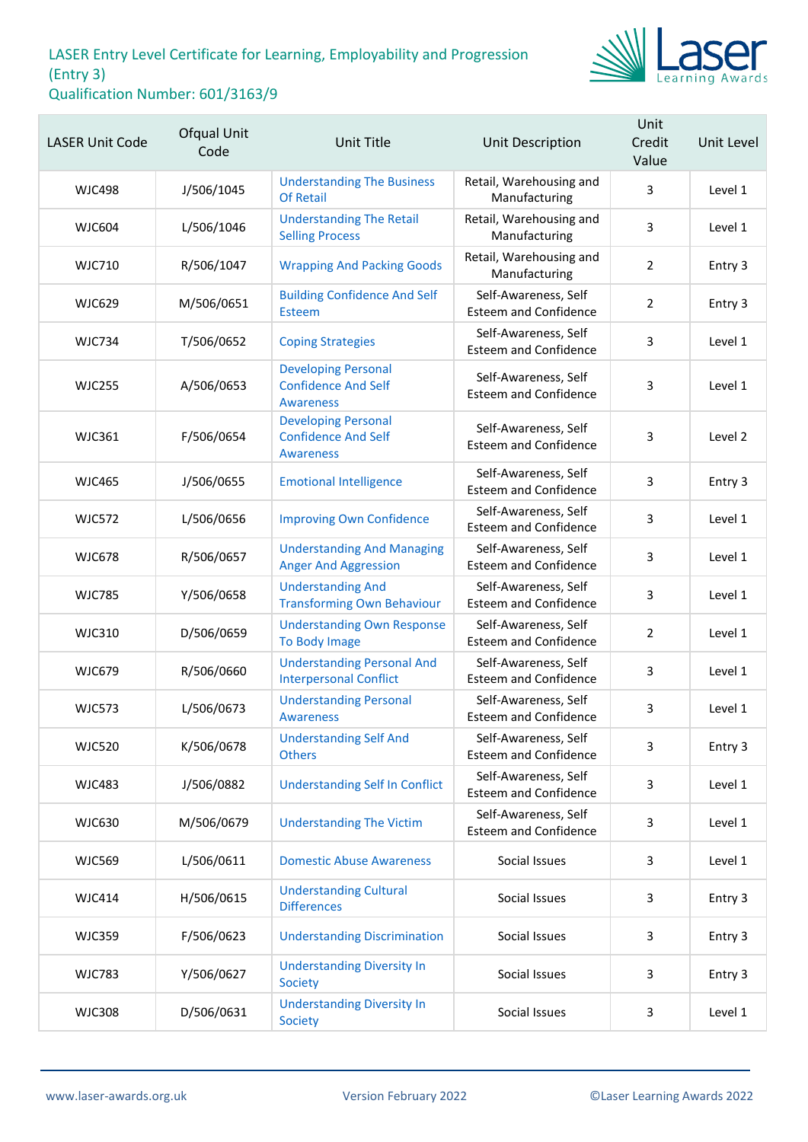

| <b>LASER Unit Code</b> | Ofqual Unit<br>Code | <b>Unit Title</b>                                                            | Unit Description                                     | Unit<br>Credit<br>Value | Unit Level |
|------------------------|---------------------|------------------------------------------------------------------------------|------------------------------------------------------|-------------------------|------------|
| <b>WJC498</b>          | J/506/1045          | <b>Understanding The Business</b><br><b>Of Retail</b>                        | Retail, Warehousing and<br>Manufacturing             | 3                       | Level 1    |
| <b>WJC604</b>          | L/506/1046          | <b>Understanding The Retail</b><br><b>Selling Process</b>                    | Retail, Warehousing and<br>Manufacturing             | 3                       | Level 1    |
| <b>WJC710</b>          | R/506/1047          | <b>Wrapping And Packing Goods</b>                                            | Retail, Warehousing and<br>Manufacturing             | $\overline{2}$          | Entry 3    |
| <b>WJC629</b>          | M/506/0651          | <b>Building Confidence And Self</b><br>Esteem                                | Self-Awareness, Self<br><b>Esteem and Confidence</b> | 2                       | Entry 3    |
| <b>WJC734</b>          | T/506/0652          | <b>Coping Strategies</b>                                                     | Self-Awareness, Self<br><b>Esteem and Confidence</b> | 3                       | Level 1    |
| <b>WJC255</b>          | A/506/0653          | <b>Developing Personal</b><br><b>Confidence And Self</b><br><b>Awareness</b> | Self-Awareness, Self<br><b>Esteem and Confidence</b> | 3                       | Level 1    |
| <b>WJC361</b>          | F/506/0654          | <b>Developing Personal</b><br><b>Confidence And Self</b><br><b>Awareness</b> | Self-Awareness, Self<br><b>Esteem and Confidence</b> | 3                       | Level 2    |
| <b>WJC465</b>          | J/506/0655          | <b>Emotional Intelligence</b>                                                | Self-Awareness, Self<br><b>Esteem and Confidence</b> | 3                       | Entry 3    |
| <b>WJC572</b>          | L/506/0656          | <b>Improving Own Confidence</b>                                              | Self-Awareness, Self<br><b>Esteem and Confidence</b> | 3                       | Level 1    |
| <b>WJC678</b>          | R/506/0657          | <b>Understanding And Managing</b><br><b>Anger And Aggression</b>             | Self-Awareness, Self<br><b>Esteem and Confidence</b> | 3                       | Level 1    |
| <b>WJC785</b>          | Y/506/0658          | <b>Understanding And</b><br><b>Transforming Own Behaviour</b>                | Self-Awareness, Self<br><b>Esteem and Confidence</b> | 3                       | Level 1    |
| <b>WJC310</b>          | D/506/0659          | <b>Understanding Own Response</b><br>To Body Image                           | Self-Awareness, Self<br><b>Esteem and Confidence</b> | $\overline{2}$          | Level 1    |
| <b>WJC679</b>          | R/506/0660          | <b>Understanding Personal And</b><br><b>Interpersonal Conflict</b>           | Self-Awareness, Self<br><b>Esteem and Confidence</b> | 3                       | Level 1    |
| <b>WJC573</b>          | L/506/0673          | <b>Understanding Personal</b><br><b>Awareness</b>                            | Self-Awareness, Self<br><b>Esteem and Confidence</b> | 3                       | Level 1    |
| <b>WJC520</b>          | K/506/0678          | <b>Understanding Self And</b><br><b>Others</b>                               | Self-Awareness, Self<br><b>Esteem and Confidence</b> | 3                       | Entry 3    |
| <b>WJC483</b>          | J/506/0882          | <b>Understanding Self In Conflict</b>                                        | Self-Awareness, Self<br><b>Esteem and Confidence</b> | 3                       | Level 1    |
| <b>WJC630</b>          | M/506/0679          | <b>Understanding The Victim</b>                                              | Self-Awareness, Self<br><b>Esteem and Confidence</b> | 3                       | Level 1    |
| <b>WJC569</b>          | L/506/0611          | <b>Domestic Abuse Awareness</b>                                              | Social Issues                                        | 3                       | Level 1    |
| <b>WJC414</b>          | H/506/0615          | <b>Understanding Cultural</b><br><b>Differences</b>                          | Social Issues                                        | 3                       | Entry 3    |
| <b>WJC359</b>          | F/506/0623          | <b>Understanding Discrimination</b>                                          | Social Issues                                        | 3                       | Entry 3    |
| <b>WJC783</b>          | Y/506/0627          | <b>Understanding Diversity In</b><br>Society                                 | Social Issues                                        | 3                       | Entry 3    |
| <b>WJC308</b>          | D/506/0631          | <b>Understanding Diversity In</b><br>Society                                 | Social Issues                                        | 3                       | Level 1    |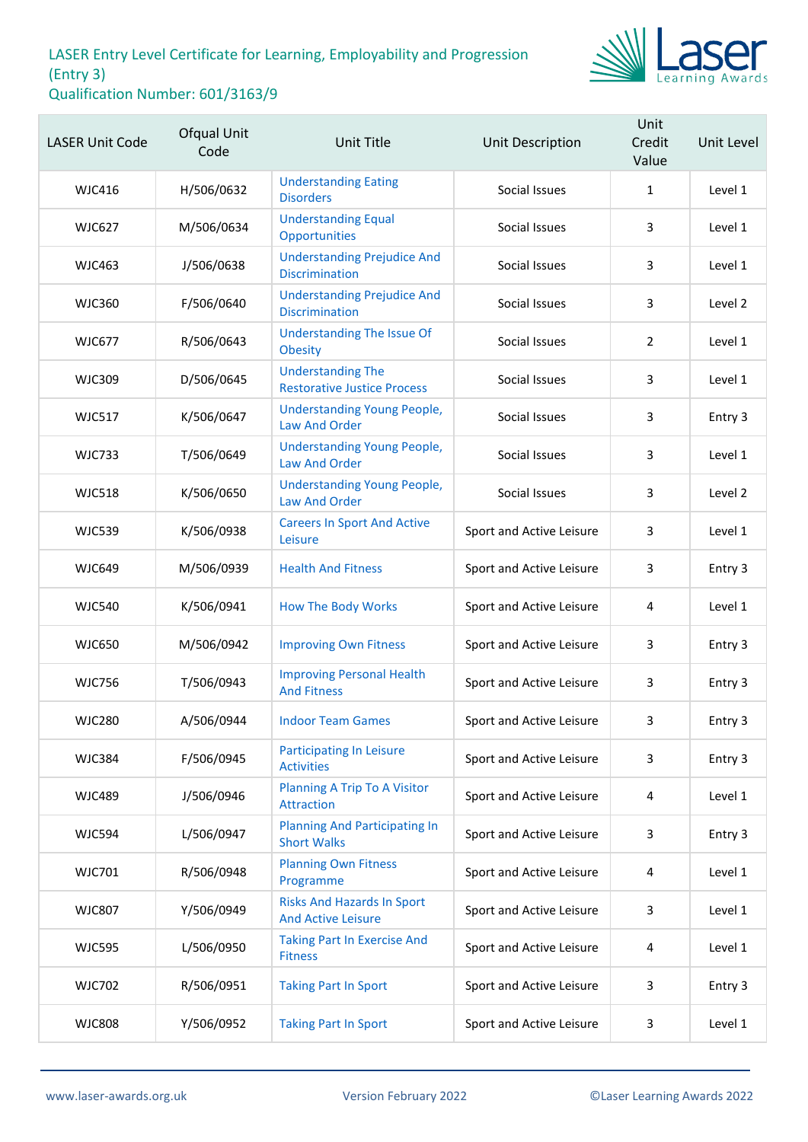

| <b>LASER Unit Code</b> | Ofqual Unit<br>Code | <b>Unit Title</b>                                              | <b>Unit Description</b>  | Unit<br>Credit<br>Value | Unit Level |
|------------------------|---------------------|----------------------------------------------------------------|--------------------------|-------------------------|------------|
| <b>WJC416</b>          | H/506/0632          | <b>Understanding Eating</b><br><b>Disorders</b>                | Social Issues            | $\mathbf{1}$            | Level 1    |
| <b>WJC627</b>          | M/506/0634          | <b>Understanding Equal</b><br>Opportunities                    | Social Issues            | 3                       | Level 1    |
| <b>WJC463</b>          | J/506/0638          | <b>Understanding Prejudice And</b><br><b>Discrimination</b>    | Social Issues            | 3                       | Level 1    |
| <b>WJC360</b>          | F/506/0640          | <b>Understanding Prejudice And</b><br><b>Discrimination</b>    | Social Issues            | 3                       | Level 2    |
| <b>WJC677</b>          | R/506/0643          | <b>Understanding The Issue Of</b><br><b>Obesity</b>            | Social Issues            | $\overline{2}$          | Level 1    |
| <b>WJC309</b>          | D/506/0645          | <b>Understanding The</b><br><b>Restorative Justice Process</b> | Social Issues            | 3                       | Level 1    |
| <b>WJC517</b>          | K/506/0647          | <b>Understanding Young People,</b><br><b>Law And Order</b>     | Social Issues            | 3                       | Entry 3    |
| <b>WJC733</b>          | T/506/0649          | <b>Understanding Young People,</b><br><b>Law And Order</b>     | Social Issues            | 3                       | Level 1    |
| <b>WJC518</b>          | K/506/0650          | <b>Understanding Young People,</b><br><b>Law And Order</b>     | Social Issues            | 3                       | Level 2    |
| <b>WJC539</b>          | K/506/0938          | <b>Careers In Sport And Active</b><br>Leisure                  | Sport and Active Leisure | 3                       | Level 1    |
| <b>WJC649</b>          | M/506/0939          | <b>Health And Fitness</b>                                      | Sport and Active Leisure | 3                       | Entry 3    |
| <b>WJC540</b>          | K/506/0941          | <b>How The Body Works</b>                                      | Sport and Active Leisure | 4                       | Level 1    |
| <b>WJC650</b>          | M/506/0942          | <b>Improving Own Fitness</b>                                   | Sport and Active Leisure | 3                       | Entry 3    |
| <b>WJC756</b>          | T/506/0943          | <b>Improving Personal Health</b><br><b>And Fitness</b>         | Sport and Active Leisure | 3                       | Entry 3    |
| <b>WJC280</b>          | A/506/0944          | <b>Indoor Team Games</b>                                       | Sport and Active Leisure | 3                       | Entry 3    |
| <b>WJC384</b>          | F/506/0945          | <b>Participating In Leisure</b><br><b>Activities</b>           | Sport and Active Leisure | 3                       | Entry 3    |
| <b>WJC489</b>          | J/506/0946          | Planning A Trip To A Visitor<br><b>Attraction</b>              | Sport and Active Leisure | 4                       | Level 1    |
| <b>WJC594</b>          | L/506/0947          | <b>Planning And Participating In</b><br><b>Short Walks</b>     | Sport and Active Leisure | 3                       | Entry 3    |
| <b>WJC701</b>          | R/506/0948          | <b>Planning Own Fitness</b><br>Programme                       | Sport and Active Leisure | 4                       | Level 1    |
| <b>WJC807</b>          | Y/506/0949          | <b>Risks And Hazards In Sport</b><br><b>And Active Leisure</b> | Sport and Active Leisure | 3                       | Level 1    |
| <b>WJC595</b>          | L/506/0950          | <b>Taking Part In Exercise And</b><br><b>Fitness</b>           | Sport and Active Leisure | 4                       | Level 1    |
| <b>WJC702</b>          | R/506/0951          | <b>Taking Part In Sport</b>                                    | Sport and Active Leisure | 3                       | Entry 3    |
| <b>WJC808</b>          | Y/506/0952          | <b>Taking Part In Sport</b>                                    | Sport and Active Leisure | $\mathbf{3}$            | Level 1    |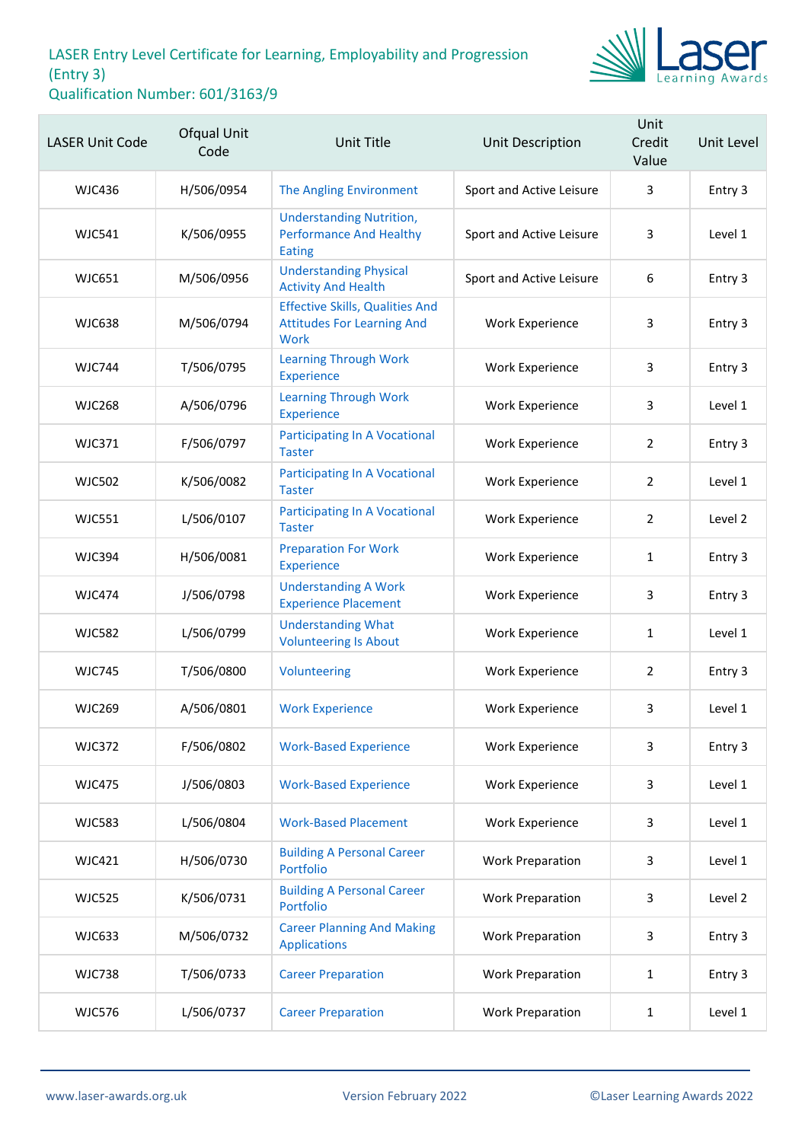

| <b>LASER Unit Code</b> | Ofqual Unit<br>Code | <b>Unit Title</b>                                                                          | Unit Description         | Unit<br>Credit<br>Value | Unit Level |
|------------------------|---------------------|--------------------------------------------------------------------------------------------|--------------------------|-------------------------|------------|
| <b>WJC436</b>          | H/506/0954          | <b>The Angling Environment</b>                                                             | Sport and Active Leisure | 3                       | Entry 3    |
| <b>WJC541</b>          | K/506/0955          | <b>Understanding Nutrition,</b><br><b>Performance And Healthy</b><br><b>Eating</b>         | Sport and Active Leisure | 3                       | Level 1    |
| <b>WJC651</b>          | M/506/0956          | <b>Understanding Physical</b><br><b>Activity And Health</b>                                | Sport and Active Leisure | 6                       | Entry 3    |
| <b>WJC638</b>          | M/506/0794          | <b>Effective Skills, Qualities And</b><br><b>Attitudes For Learning And</b><br><b>Work</b> | <b>Work Experience</b>   | 3                       | Entry 3    |
| <b>WJC744</b>          | T/506/0795          | <b>Learning Through Work</b><br><b>Experience</b>                                          | Work Experience          | 3                       | Entry 3    |
| <b>WJC268</b>          | A/506/0796          | <b>Learning Through Work</b><br><b>Experience</b>                                          | Work Experience          | 3                       | Level 1    |
| <b>WJC371</b>          | F/506/0797          | <b>Participating In A Vocational</b><br><b>Taster</b>                                      | <b>Work Experience</b>   | $\overline{2}$          | Entry 3    |
| <b>WJC502</b>          | K/506/0082          | <b>Participating In A Vocational</b><br><b>Taster</b>                                      | Work Experience          | $\overline{2}$          | Level 1    |
| <b>WJC551</b>          | L/506/0107          | <b>Participating In A Vocational</b><br><b>Taster</b>                                      | Work Experience          | $\overline{2}$          | Level 2    |
| <b>WJC394</b>          | H/506/0081          | <b>Preparation For Work</b><br>Experience                                                  | Work Experience          | $\mathbf{1}$            | Entry 3    |
| <b>WJC474</b>          | J/506/0798          | <b>Understanding A Work</b><br><b>Experience Placement</b>                                 | Work Experience          | 3                       | Entry 3    |
| <b>WJC582</b>          | L/506/0799          | <b>Understanding What</b><br><b>Volunteering Is About</b>                                  | Work Experience          | $\mathbf{1}$            | Level 1    |
| <b>WJC745</b>          | T/506/0800          | Volunteering                                                                               | Work Experience          | $\overline{2}$          | Entry 3    |
| <b>WJC269</b>          | A/506/0801          | <b>Work Experience</b>                                                                     | Work Experience          | 3                       | Level 1    |
| <b>WJC372</b>          | F/506/0802          | <b>Work-Based Experience</b>                                                               | Work Experience          | 3                       | Entry 3    |
| <b>WJC475</b>          | J/506/0803          | <b>Work-Based Experience</b>                                                               | <b>Work Experience</b>   | 3                       | Level 1    |
| <b>WJC583</b>          | L/506/0804          | <b>Work-Based Placement</b>                                                                | <b>Work Experience</b>   | 3                       | Level 1    |
| <b>WJC421</b>          | H/506/0730          | <b>Building A Personal Career</b><br>Portfolio                                             | <b>Work Preparation</b>  | 3                       | Level 1    |
| <b>WJC525</b>          | K/506/0731          | <b>Building A Personal Career</b><br>Portfolio                                             | <b>Work Preparation</b>  | 3                       | Level 2    |
| <b>WJC633</b>          | M/506/0732          | <b>Career Planning And Making</b><br><b>Applications</b>                                   | <b>Work Preparation</b>  | 3                       | Entry 3    |
| <b>WJC738</b>          | T/506/0733          | <b>Career Preparation</b>                                                                  | <b>Work Preparation</b>  | $\mathbf{1}$            | Entry 3    |
| <b>WJC576</b>          | L/506/0737          | <b>Career Preparation</b>                                                                  | <b>Work Preparation</b>  | $\mathbf{1}$            | Level 1    |